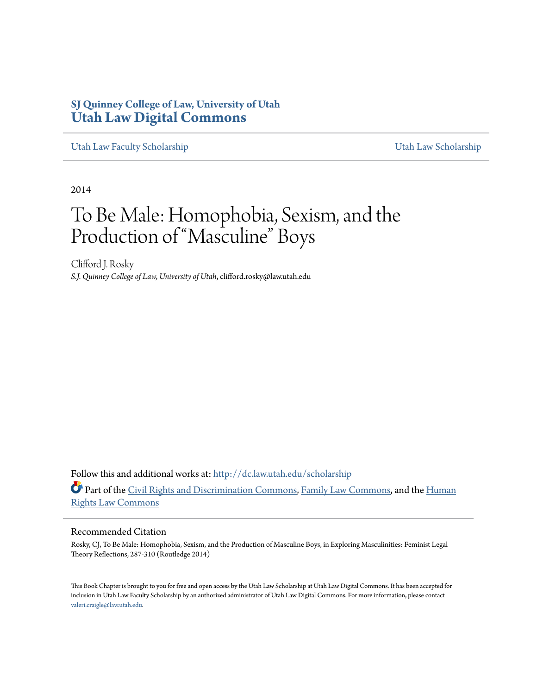# **SJ Quinney College of Law, University of Utah [Utah Law Digital Commons](http://dc.law.utah.edu?utm_source=dc.law.utah.edu%2Fscholarship%2F23&utm_medium=PDF&utm_campaign=PDFCoverPages)**

[Utah Law Faculty Scholarship](http://dc.law.utah.edu/scholarship?utm_source=dc.law.utah.edu%2Fscholarship%2F23&utm_medium=PDF&utm_campaign=PDFCoverPages) [Utah Law Scholarship](http://dc.law.utah.edu/utah_scholarship?utm_source=dc.law.utah.edu%2Fscholarship%2F23&utm_medium=PDF&utm_campaign=PDFCoverPages)

2014

# To Be Male: Homophobia, Sexism, and the Production of "Masculine" Boys

Clifford J. Rosky *S.J. Quinney College of Law, University of Utah*, clifford.rosky@law.utah.edu

Follow this and additional works at: [http://dc.law.utah.edu/scholarship](http://dc.law.utah.edu/scholarship?utm_source=dc.law.utah.edu%2Fscholarship%2F23&utm_medium=PDF&utm_campaign=PDFCoverPages) Part of the [Civil Rights and Discrimination Commons,](http://network.bepress.com/hgg/discipline/585?utm_source=dc.law.utah.edu%2Fscholarship%2F23&utm_medium=PDF&utm_campaign=PDFCoverPages) [Family Law Commons](http://network.bepress.com/hgg/discipline/602?utm_source=dc.law.utah.edu%2Fscholarship%2F23&utm_medium=PDF&utm_campaign=PDFCoverPages), and the [Human](http://network.bepress.com/hgg/discipline/847?utm_source=dc.law.utah.edu%2Fscholarship%2F23&utm_medium=PDF&utm_campaign=PDFCoverPages) [Rights Law Commons](http://network.bepress.com/hgg/discipline/847?utm_source=dc.law.utah.edu%2Fscholarship%2F23&utm_medium=PDF&utm_campaign=PDFCoverPages)

#### Recommended Citation

Rosky, CJ, To Be Male: Homophobia, Sexism, and the Production of Masculine Boys, in Exploring Masculinities: Feminist Legal Theory Reflections, 287-310 (Routledge 2014)

This Book Chapter is brought to you for free and open access by the Utah Law Scholarship at Utah Law Digital Commons. It has been accepted for inclusion in Utah Law Faculty Scholarship by an authorized administrator of Utah Law Digital Commons. For more information, please contact [valeri.craigle@law.utah.edu](mailto:valeri.craigle@law.utah.edu).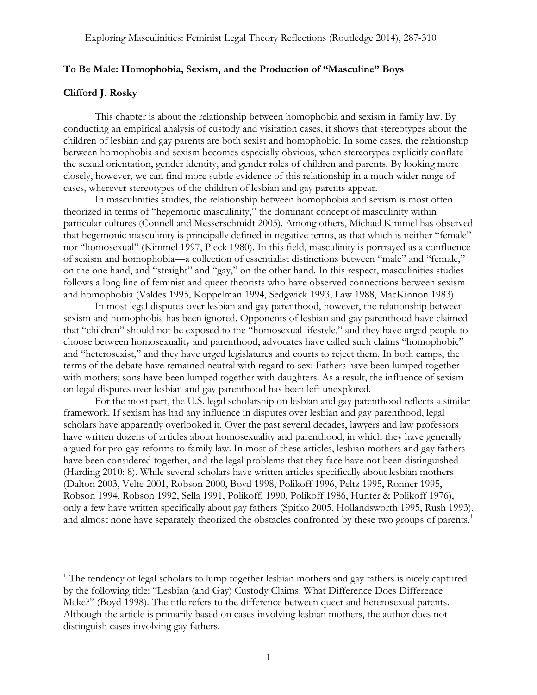#### **To Be Male: Homophobia, Sexism, and the Production of "Masculine" Boys**

#### **Clifford J. Rosky**

 

This chapter is about the relationship between homophobia and sexism in family law. By conducting an empirical analysis of custody and visitation cases, it shows that stereotypes about the children of lesbian and gay parents are both sexist and homophobic. In some cases, the relationship between homophobia and sexism becomes especially obvious, when stereotypes explicitly conflate the sexual orientation, gender identity, and gender roles of children and parents. By looking more closely, however, we can find more subtle evidence of this relationship in a much wider range of cases, wherever stereotypes of the children of lesbian and gay parents appear.

In masculinities studies, the relationship between homophobia and sexism is most often theorized in terms of "hegemonic masculinity," the dominant concept of masculinity within particular cultures (Connell and Messerschmidt 2005). Among others, Michael Kimmel has observed that hegemonic masculinity is principally defined in negative terms, as that which is neither "female" nor "homosexual" (Kimmel 1997, Pleck 1980). In this field, masculinity is portrayed as a confluence of sexism and homophobia—a collection of essentialist distinctions between "male" and "female," on the one hand, and "straight" and "gay," on the other hand. In this respect, masculinities studies follows a long line of feminist and queer theorists who have observed connections between sexism and homophobia (Valdes 1995, Koppelman 1994, Sedgwick 1993, Law 1988, MacKinnon 1983).

In most legal disputes over lesbian and gay parenthood, however, the relationship between sexism and homophobia has been ignored. Opponents of lesbian and gay parenthood have claimed that "children" should not be exposed to the "homosexual lifestyle," and they have urged people to choose between homosexuality and parenthood; advocates have called such claims "homophobic" and "heterosexist," and they have urged legislatures and courts to reject them. In both camps, the terms of the debate have remained neutral with regard to sex: Fathers have been lumped together with mothers; sons have been lumped together with daughters. As a result, the influence of sexism on legal disputes over lesbian and gay parenthood has been left unexplored.

For the most part, the U.S. legal scholarship on lesbian and gay parenthood reflects a similar framework. If sexism has had any influence in disputes over lesbian and gay parenthood, legal scholars have apparently overlooked it. Over the past several decades, lawyers and law professors have written dozens of articles about homosexuality and parenthood, in which they have generally argued for pro-gay reforms to family law. In most of these articles, lesbian mothers and gay fathers have been considered together, and the legal problems that they face have not been distinguished (Harding 2010: 8). While several scholars have written articles specifically about lesbian mothers (Dalton 2003, Velte 2001, Robson 2000, Boyd 1998, Polikoff 1996, Peltz 1995, Ronner 1995, Robson 1994, Robson 1992, Sella 1991, Polikoff, 1990, Polikoff 1986, Hunter & Polikoff 1976), only a few have written specifically about gay fathers (Spitko 2005, Hollandsworth 1995, Rush 1993), and almost none have separately theorized the obstacles confronted by these two groups of parents.<sup>1</sup>

<sup>&</sup>lt;sup>1</sup> The tendency of legal scholars to lump together lesbian mothers and gay fathers is nicely captured by the following title: "Lesbian (and Gay) Custody Claims: What Difference Does Difference Make?" (Boyd 1998). The title refers to the difference between queer and heterosexual parents. Although the article is primarily based on cases involving lesbian mothers, the author does not distinguish cases involving gay fathers.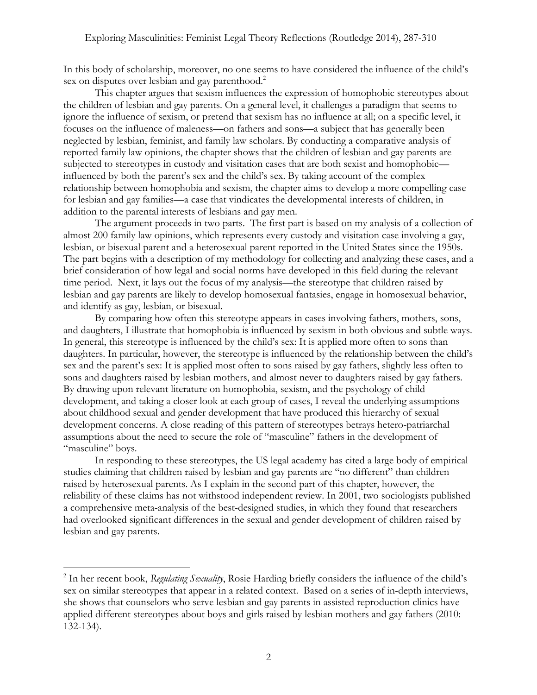In this body of scholarship, moreover, no one seems to have considered the influence of the child's sex on disputes over lesbian and gay parenthood.<sup>2</sup>

This chapter argues that sexism influences the expression of homophobic stereotypes about the children of lesbian and gay parents. On a general level, it challenges a paradigm that seems to ignore the influence of sexism, or pretend that sexism has no influence at all; on a specific level, it focuses on the influence of maleness—on fathers and sons—a subject that has generally been neglected by lesbian, feminist, and family law scholars. By conducting a comparative analysis of reported family law opinions, the chapter shows that the children of lesbian and gay parents are subjected to stereotypes in custody and visitation cases that are both sexist and homophobic influenced by both the parent's sex and the child's sex. By taking account of the complex relationship between homophobia and sexism, the chapter aims to develop a more compelling case for lesbian and gay families—a case that vindicates the developmental interests of children, in addition to the parental interests of lesbians and gay men.

The argument proceeds in two parts. The first part is based on my analysis of a collection of almost 200 family law opinions, which represents every custody and visitation case involving a gay, lesbian, or bisexual parent and a heterosexual parent reported in the United States since the 1950s. The part begins with a description of my methodology for collecting and analyzing these cases, and a brief consideration of how legal and social norms have developed in this field during the relevant time period. Next, it lays out the focus of my analysis—the stereotype that children raised by lesbian and gay parents are likely to develop homosexual fantasies, engage in homosexual behavior, and identify as gay, lesbian, or bisexual.

By comparing how often this stereotype appears in cases involving fathers, mothers, sons, and daughters, I illustrate that homophobia is influenced by sexism in both obvious and subtle ways. In general, this stereotype is influenced by the child's sex: It is applied more often to sons than daughters. In particular, however, the stereotype is influenced by the relationship between the child's sex and the parent's sex: It is applied most often to sons raised by gay fathers, slightly less often to sons and daughters raised by lesbian mothers, and almost never to daughters raised by gay fathers. By drawing upon relevant literature on homophobia, sexism, and the psychology of child development, and taking a closer look at each group of cases, I reveal the underlying assumptions about childhood sexual and gender development that have produced this hierarchy of sexual development concerns. A close reading of this pattern of stereotypes betrays hetero-patriarchal assumptions about the need to secure the role of "masculine" fathers in the development of "masculine" boys.

In responding to these stereotypes, the US legal academy has cited a large body of empirical studies claiming that children raised by lesbian and gay parents are "no different" than children raised by heterosexual parents. As I explain in the second part of this chapter, however, the reliability of these claims has not withstood independent review. In 2001, two sociologists published a comprehensive meta-analysis of the best-designed studies, in which they found that researchers had overlooked significant differences in the sexual and gender development of children raised by lesbian and gay parents.

<sup>2</sup> In her recent book, *Regulating Sexuality*, Rosie Harding briefly considers the influence of the child's sex on similar stereotypes that appear in a related context. Based on a series of in-depth interviews, she shows that counselors who serve lesbian and gay parents in assisted reproduction clinics have applied different stereotypes about boys and girls raised by lesbian mothers and gay fathers (2010: 132-134).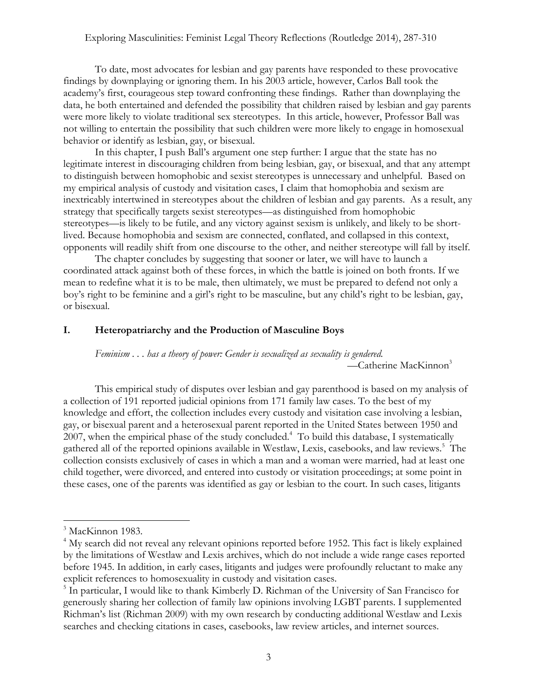To date, most advocates for lesbian and gay parents have responded to these provocative findings by downplaying or ignoring them. In his 2003 article, however, Carlos Ball took the academy's first, courageous step toward confronting these findings. Rather than downplaying the data, he both entertained and defended the possibility that children raised by lesbian and gay parents were more likely to violate traditional sex stereotypes. In this article, however, Professor Ball was not willing to entertain the possibility that such children were more likely to engage in homosexual behavior or identify as lesbian, gay, or bisexual.

In this chapter, I push Ball's argument one step further: I argue that the state has no legitimate interest in discouraging children from being lesbian, gay, or bisexual, and that any attempt to distinguish between homophobic and sexist stereotypes is unnecessary and unhelpful. Based on my empirical analysis of custody and visitation cases, I claim that homophobia and sexism are inextricably intertwined in stereotypes about the children of lesbian and gay parents. As a result, any strategy that specifically targets sexist stereotypes—as distinguished from homophobic stereotypes—is likely to be futile, and any victory against sexism is unlikely, and likely to be shortlived. Because homophobia and sexism are connected, conflated, and collapsed in this context, opponents will readily shift from one discourse to the other, and neither stereotype will fall by itself.

The chapter concludes by suggesting that sooner or later, we will have to launch a coordinated attack against both of these forces, in which the battle is joined on both fronts. If we mean to redefine what it is to be male, then ultimately, we must be prepared to defend not only a boy's right to be feminine and a girl's right to be masculine, but any child's right to be lesbian, gay, or bisexual.

## **I. Heteropatriarchy and the Production of Masculine Boys**

*Feminism . . . has a theory of power: Gender is sexualized as sexuality is gendered.*  —Catherine MacKinnon<sup>3</sup>

This empirical study of disputes over lesbian and gay parenthood is based on my analysis of a collection of 191 reported judicial opinions from 171 family law cases. To the best of my knowledge and effort, the collection includes every custody and visitation case involving a lesbian, gay, or bisexual parent and a heterosexual parent reported in the United States between 1950 and 2007, when the empirical phase of the study concluded.<sup>4</sup> To build this database, I systematically gathered all of the reported opinions available in Westlaw, Lexis, casebooks, and law reviews.<sup>5</sup> The collection consists exclusively of cases in which a man and a woman were married, had at least one child together, were divorced, and entered into custody or visitation proceedings; at some point in these cases, one of the parents was identified as gay or lesbian to the court. In such cases, litigants

<sup>&</sup>lt;sup>3</sup> MacKinnon 1983.

<sup>&</sup>lt;sup>4</sup> My search did not reveal any relevant opinions reported before 1952. This fact is likely explained by the limitations of Westlaw and Lexis archives, which do not include a wide range cases reported before 1945. In addition, in early cases, litigants and judges were profoundly reluctant to make any explicit references to homosexuality in custody and visitation cases.

<sup>&</sup>lt;sup>5</sup> In particular, I would like to thank Kimberly D. Richman of the University of San Francisco for generously sharing her collection of family law opinions involving LGBT parents. I supplemented Richman's list (Richman 2009) with my own research by conducting additional Westlaw and Lexis searches and checking citations in cases, casebooks, law review articles, and internet sources.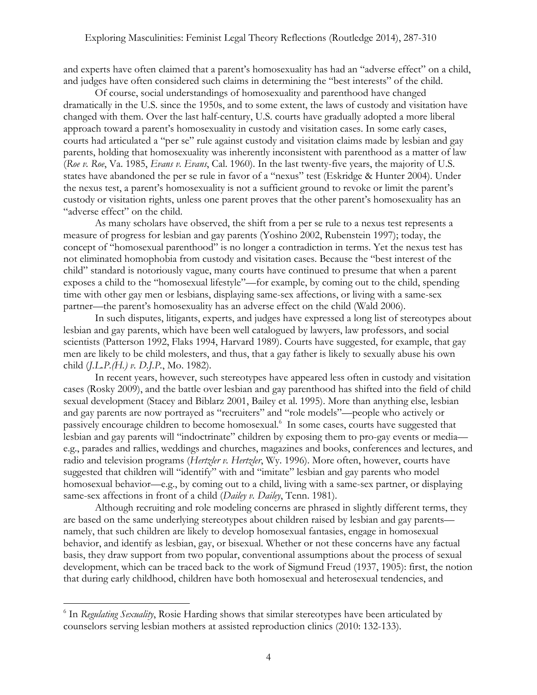and experts have often claimed that a parent's homosexuality has had an "adverse effect" on a child, and judges have often considered such claims in determining the "best interests" of the child.

Of course, social understandings of homosexuality and parenthood have changed dramatically in the U.S. since the 1950s, and to some extent, the laws of custody and visitation have changed with them. Over the last half-century, U.S. courts have gradually adopted a more liberal approach toward a parent's homosexuality in custody and visitation cases. In some early cases, courts had articulated a "per se" rule against custody and visitation claims made by lesbian and gay parents, holding that homosexuality was inherently inconsistent with parenthood as a matter of law (*Roe v. Roe*, Va. 1985, *Evans v. Evans*, Cal. 1960). In the last twenty-five years, the majority of U.S. states have abandoned the per se rule in favor of a "nexus" test (Eskridge & Hunter 2004). Under the nexus test, a parent's homosexuality is not a sufficient ground to revoke or limit the parent's custody or visitation rights, unless one parent proves that the other parent's homosexuality has an "adverse effect" on the child.

As many scholars have observed, the shift from a per se rule to a nexus test represents a measure of progress for lesbian and gay parents (Yoshino 2002, Rubenstein 1997); today, the concept of "homosexual parenthood" is no longer a contradiction in terms. Yet the nexus test has not eliminated homophobia from custody and visitation cases. Because the "best interest of the child" standard is notoriously vague, many courts have continued to presume that when a parent exposes a child to the "homosexual lifestyle"—for example, by coming out to the child, spending time with other gay men or lesbians, displaying same-sex affections, or living with a same-sex partner—the parent's homosexuality has an adverse effect on the child (Wald 2006).

In such disputes, litigants, experts, and judges have expressed a long list of stereotypes about lesbian and gay parents, which have been well catalogued by lawyers, law professors, and social scientists (Patterson 1992, Flaks 1994, Harvard 1989). Courts have suggested, for example, that gay men are likely to be child molesters, and thus, that a gay father is likely to sexually abuse his own child (*J.L.P.(H.) v. D.J.P.*, Mo. 1982).

In recent years, however, such stereotypes have appeared less often in custody and visitation cases (Rosky 2009), and the battle over lesbian and gay parenthood has shifted into the field of child sexual development (Stacey and Biblarz 2001, Bailey et al. 1995). More than anything else, lesbian and gay parents are now portrayed as "recruiters" and "role models"—people who actively or passively encourage children to become homosexual.<sup>6</sup> In some cases, courts have suggested that lesbian and gay parents will "indoctrinate" children by exposing them to pro-gay events or media e.g., parades and rallies, weddings and churches, magazines and books, conferences and lectures, and radio and television programs (*Hertzler v. Hertzler*, Wy. 1996). More often, however, courts have suggested that children will "identify" with and "imitate" lesbian and gay parents who model homosexual behavior—e.g., by coming out to a child, living with a same-sex partner, or displaying same-sex affections in front of a child (*Dailey v. Dailey*, Tenn. 1981).

Although recruiting and role modeling concerns are phrased in slightly different terms, they are based on the same underlying stereotypes about children raised by lesbian and gay parents namely, that such children are likely to develop homosexual fantasies, engage in homosexual behavior, and identify as lesbian, gay, or bisexual. Whether or not these concerns have any factual basis, they draw support from two popular, conventional assumptions about the process of sexual development, which can be traced back to the work of Sigmund Freud (1937, 1905): first, the notion that during early childhood, children have both homosexual and heterosexual tendencies, and

<sup>6</sup> In *Regulating Sexuality*, Rosie Harding shows that similar stereotypes have been articulated by counselors serving lesbian mothers at assisted reproduction clinics (2010: 132-133).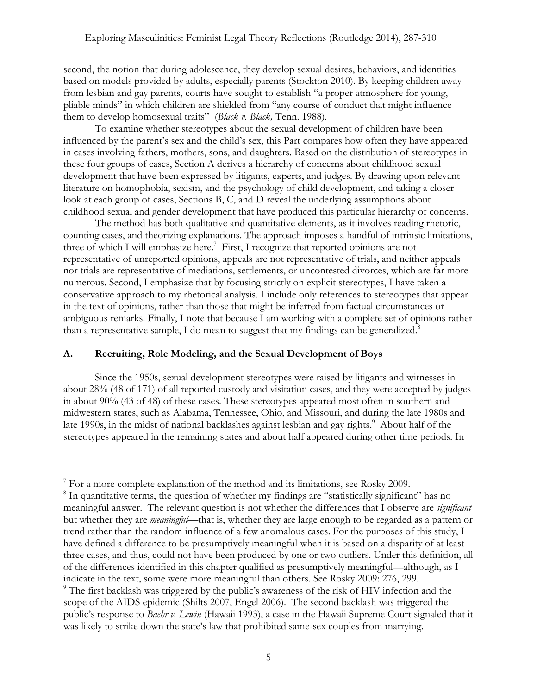second, the notion that during adolescence, they develop sexual desires, behaviors, and identities based on models provided by adults, especially parents (Stockton 2010). By keeping children away from lesbian and gay parents, courts have sought to establish "a proper atmosphere for young, pliable minds" in which children are shielded from "any course of conduct that might influence them to develop homosexual traits" (*Black v. Black,* Tenn. 1988).

To examine whether stereotypes about the sexual development of children have been influenced by the parent's sex and the child's sex, this Part compares how often they have appeared in cases involving fathers, mothers, sons, and daughters. Based on the distribution of stereotypes in these four groups of cases, Section A derives a hierarchy of concerns about childhood sexual development that have been expressed by litigants, experts, and judges. By drawing upon relevant literature on homophobia, sexism, and the psychology of child development, and taking a closer look at each group of cases, Sections B, C, and D reveal the underlying assumptions about childhood sexual and gender development that have produced this particular hierarchy of concerns.

The method has both qualitative and quantitative elements, as it involves reading rhetoric, counting cases, and theorizing explanations. The approach imposes a handful of intrinsic limitations, three of which I will emphasize here.<sup>7</sup> First, I recognize that reported opinions are not representative of unreported opinions, appeals are not representative of trials, and neither appeals nor trials are representative of mediations, settlements, or uncontested divorces, which are far more numerous. Second, I emphasize that by focusing strictly on explicit stereotypes, I have taken a conservative approach to my rhetorical analysis. I include only references to stereotypes that appear in the text of opinions, rather than those that might be inferred from factual circumstances or ambiguous remarks. Finally, I note that because I am working with a complete set of opinions rather than a representative sample, I do mean to suggest that my findings can be generalized. $8$ 

## **A. Recruiting, Role Modeling, and the Sexual Development of Boys**

Since the 1950s, sexual development stereotypes were raised by litigants and witnesses in about 28% (48 of 171) of all reported custody and visitation cases, and they were accepted by judges in about 90% (43 of 48) of these cases. These stereotypes appeared most often in southern and midwestern states, such as Alabama, Tennessee, Ohio, and Missouri, and during the late 1980s and late 1990s, in the midst of national backlashes against lesbian and gay rights.<sup>9</sup> About half of the stereotypes appeared in the remaining states and about half appeared during other time periods. In

<sup>&</sup>lt;sup>7</sup> For a more complete explanation of the method and its limitations, see Rosky 2009.

<sup>&</sup>lt;sup>8</sup> In quantitative terms, the question of whether my findings are "statistically significant" has no meaningful answer. The relevant question is not whether the differences that I observe are *significant* but whether they are *meaningful*—that is, whether they are large enough to be regarded as a pattern or trend rather than the random influence of a few anomalous cases. For the purposes of this study, I have defined a difference to be presumptively meaningful when it is based on a disparity of at least three cases, and thus, could not have been produced by one or two outliers. Under this definition, all of the differences identified in this chapter qualified as presumptively meaningful—although, as I indicate in the text, some were more meaningful than others. See Rosky 2009: 276, 299. <sup>9</sup> The first backlash was triggered by the public's awareness of the risk of HIV infection and the scope of the AIDS epidemic (Shilts 2007, Engel 2006). The second backlash was triggered the public's response to *Baehr v. Lewin* (Hawaii 1993), a case in the Hawaii Supreme Court signaled that it was likely to strike down the state's law that prohibited same-sex couples from marrying.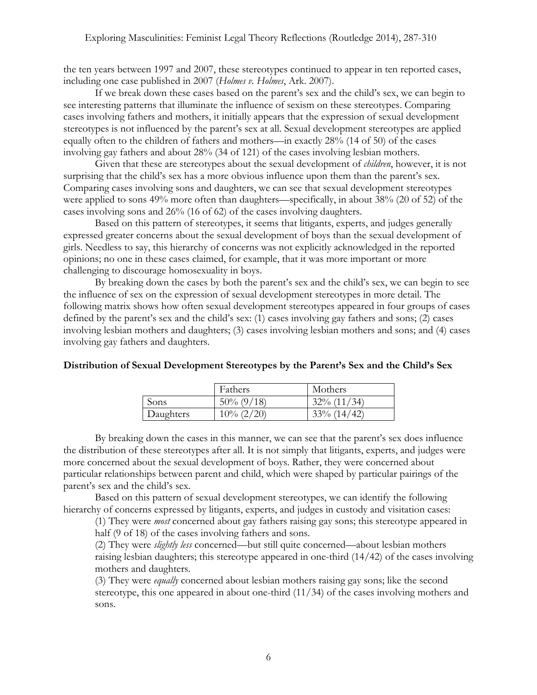the ten years between 1997 and 2007, these stereotypes continued to appear in ten reported cases, including one case published in 2007 (*Holmes v. Holmes*, Ark. 2007).

If we break down these cases based on the parent's sex and the child's sex, we can begin to see interesting patterns that illuminate the influence of sexism on these stereotypes. Comparing cases involving fathers and mothers, it initially appears that the expression of sexual development stereotypes is not influenced by the parent's sex at all. Sexual development stereotypes are applied equally often to the children of fathers and mothers—in exactly 28% (14 of 50) of the cases involving gay fathers and about 28% (34 of 121) of the cases involving lesbian mothers.

Given that these are stereotypes about the sexual development of *children*, however, it is not surprising that the child's sex has a more obvious influence upon them than the parent's sex. Comparing cases involving sons and daughters, we can see that sexual development stereotypes were applied to sons 49% more often than daughters—specifically, in about 38% (20 of 52) of the cases involving sons and 26% (16 of 62) of the cases involving daughters.

Based on this pattern of stereotypes, it seems that litigants, experts, and judges generally expressed greater concerns about the sexual development of boys than the sexual development of girls. Needless to say, this hierarchy of concerns was not explicitly acknowledged in the reported opinions; no one in these cases claimed, for example, that it was more important or more challenging to discourage homosexuality in boys.

By breaking down the cases by both the parent's sex and the child's sex, we can begin to see the influence of sex on the expression of sexual development stereotypes in more detail. The following matrix shows how often sexual development stereotypes appeared in four groups of cases defined by the parent's sex and the child's sex: (1) cases involving gay fathers and sons; (2) cases involving lesbian mothers and daughters; (3) cases involving lesbian mothers and sons; and (4) cases involving gay fathers and daughters.

|           | Fathers       | Mothers        |
|-----------|---------------|----------------|
| Sons      | $50\% (9/18)$ | $32\%$ (11/34) |
| Daughters | $10\% (2/20)$ | (14/42)<br>33% |

# **Distribution of Sexual Development Stereotypes by the Parent's Sex and the Child's Sex**

By breaking down the cases in this manner, we can see that the parent's sex does influence the distribution of these stereotypes after all. It is not simply that litigants, experts, and judges were more concerned about the sexual development of boys. Rather, they were concerned about particular relationships between parent and child, which were shaped by particular pairings of the parent's sex and the child's sex.

Based on this pattern of sexual development stereotypes, we can identify the following hierarchy of concerns expressed by litigants, experts, and judges in custody and visitation cases:

(1) They were *most* concerned about gay fathers raising gay sons; this stereotype appeared in half (9 of 18) of the cases involving fathers and sons.

(2) They were *slightly less* concerned—but still quite concerned—about lesbian mothers raising lesbian daughters; this stereotype appeared in one-third (14/42) of the cases involving mothers and daughters.

(3) They were *equally* concerned about lesbian mothers raising gay sons; like the second stereotype, this one appeared in about one-third (11/34) of the cases involving mothers and sons.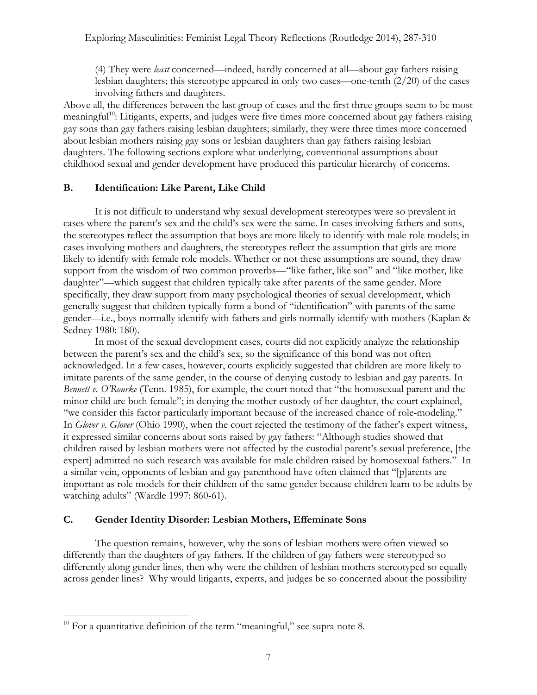(4) They were *least* concerned—indeed, hardly concerned at all—about gay fathers raising lesbian daughters; this stereotype appeared in only two cases—one-tenth (2/20) of the cases involving fathers and daughters.

Above all, the differences between the last group of cases and the first three groups seem to be most meaningful<sup>10</sup>: Litigants, experts, and judges were five times more concerned about gay fathers raising gay sons than gay fathers raising lesbian daughters; similarly, they were three times more concerned about lesbian mothers raising gay sons or lesbian daughters than gay fathers raising lesbian daughters. The following sections explore what underlying, conventional assumptions about childhood sexual and gender development have produced this particular hierarchy of concerns.

## **B. Identification: Like Parent, Like Child**

It is not difficult to understand why sexual development stereotypes were so prevalent in cases where the parent's sex and the child's sex were the same. In cases involving fathers and sons, the stereotypes reflect the assumption that boys are more likely to identify with male role models; in cases involving mothers and daughters, the stereotypes reflect the assumption that girls are more likely to identify with female role models. Whether or not these assumptions are sound, they draw support from the wisdom of two common proverbs—"like father, like son" and "like mother, like daughter"—which suggest that children typically take after parents of the same gender. More specifically, they draw support from many psychological theories of sexual development, which generally suggest that children typically form a bond of "identification" with parents of the same gender—i.e., boys normally identify with fathers and girls normally identify with mothers (Kaplan & Sedney 1980: 180).

In most of the sexual development cases, courts did not explicitly analyze the relationship between the parent's sex and the child's sex, so the significance of this bond was not often acknowledged. In a few cases, however, courts explicitly suggested that children are more likely to imitate parents of the same gender, in the course of denying custody to lesbian and gay parents. In *Bennett v. O'Rourke* (Tenn. 1985), for example, the court noted that "the homosexual parent and the minor child are both female"; in denying the mother custody of her daughter, the court explained, "we consider this factor particularly important because of the increased chance of role-modeling." In *Glover v. Glover* (Ohio 1990), when the court rejected the testimony of the father's expert witness, it expressed similar concerns about sons raised by gay fathers: "Although studies showed that children raised by lesbian mothers were not affected by the custodial parent's sexual preference, [the expert] admitted no such research was available for male children raised by homosexual fathers." In a similar vein, opponents of lesbian and gay parenthood have often claimed that "[p]arents are important as role models for their children of the same gender because children learn to be adults by watching adults" (Wardle 1997: 860-61).

# **C. Gender Identity Disorder: Lesbian Mothers, Effeminate Sons**

The question remains, however, why the sons of lesbian mothers were often viewed so differently than the daughters of gay fathers. If the children of gay fathers were stereotyped so differently along gender lines, then why were the children of lesbian mothers stereotyped so equally across gender lines? Why would litigants, experts, and judges be so concerned about the possibility

 $10$  For a quantitative definition of the term "meaningful," see supra note 8.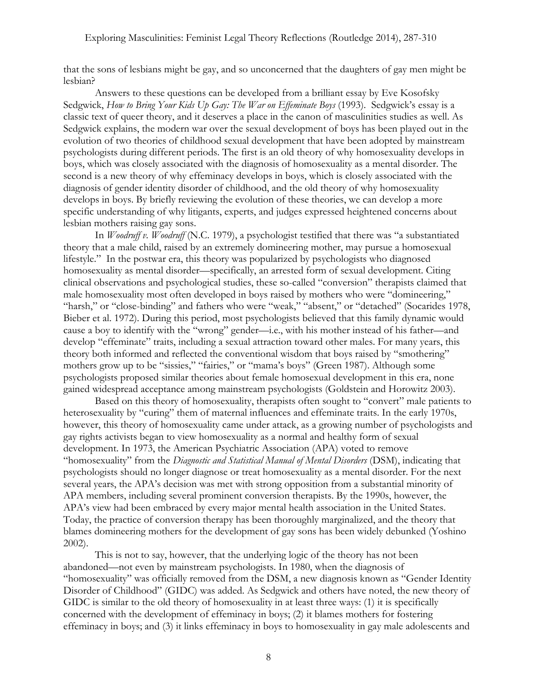that the sons of lesbians might be gay, and so unconcerned that the daughters of gay men might be lesbian?

Answers to these questions can be developed from a brilliant essay by Eve Kosofsky Sedgwick, *How to Bring Your Kids Up Gay: The War on Effeminate Boys* (1993). Sedgwick's essay is a classic text of queer theory, and it deserves a place in the canon of masculinities studies as well. As Sedgwick explains, the modern war over the sexual development of boys has been played out in the evolution of two theories of childhood sexual development that have been adopted by mainstream psychologists during different periods. The first is an old theory of why homosexuality develops in boys, which was closely associated with the diagnosis of homosexuality as a mental disorder. The second is a new theory of why effeminacy develops in boys, which is closely associated with the diagnosis of gender identity disorder of childhood, and the old theory of why homosexuality develops in boys. By briefly reviewing the evolution of these theories, we can develop a more specific understanding of why litigants, experts, and judges expressed heightened concerns about lesbian mothers raising gay sons.

In *Woodruff v. Woodruff* (N.C. 1979), a psychologist testified that there was "a substantiated theory that a male child, raised by an extremely domineering mother, may pursue a homosexual lifestyle." In the postwar era, this theory was popularized by psychologists who diagnosed homosexuality as mental disorder—specifically, an arrested form of sexual development. Citing clinical observations and psychological studies, these so-called "conversion" therapists claimed that male homosexuality most often developed in boys raised by mothers who were "domineering," "harsh," or "close-binding" and fathers who were "weak," "absent," or "detached" (Socarides 1978, Bieber et al. 1972). During this period, most psychologists believed that this family dynamic would cause a boy to identify with the "wrong" gender—i.e., with his mother instead of his father—and develop "effeminate" traits, including a sexual attraction toward other males. For many years, this theory both informed and reflected the conventional wisdom that boys raised by "smothering" mothers grow up to be "sissies," "fairies," or "mama's boys" (Green 1987). Although some psychologists proposed similar theories about female homosexual development in this era, none gained widespread acceptance among mainstream psychologists (Goldstein and Horowitz 2003).

Based on this theory of homosexuality, therapists often sought to "convert" male patients to heterosexuality by "curing" them of maternal influences and effeminate traits. In the early 1970s, however, this theory of homosexuality came under attack, as a growing number of psychologists and gay rights activists began to view homosexuality as a normal and healthy form of sexual development. In 1973, the American Psychiatric Association (APA) voted to remove "homosexuality" from the *Diagnostic and Statistical Manual of Mental Disorders* (DSM), indicating that psychologists should no longer diagnose or treat homosexuality as a mental disorder. For the next several years, the APA's decision was met with strong opposition from a substantial minority of APA members, including several prominent conversion therapists. By the 1990s, however, the APA's view had been embraced by every major mental health association in the United States. Today, the practice of conversion therapy has been thoroughly marginalized, and the theory that blames domineering mothers for the development of gay sons has been widely debunked (Yoshino 2002).

This is not to say, however, that the underlying logic of the theory has not been abandoned—not even by mainstream psychologists. In 1980, when the diagnosis of "homosexuality" was officially removed from the DSM, a new diagnosis known as "Gender Identity Disorder of Childhood" (GIDC) was added. As Sedgwick and others have noted, the new theory of GIDC is similar to the old theory of homosexuality in at least three ways: (1) it is specifically concerned with the development of effeminacy in boys; (2) it blames mothers for fostering effeminacy in boys; and (3) it links effeminacy in boys to homosexuality in gay male adolescents and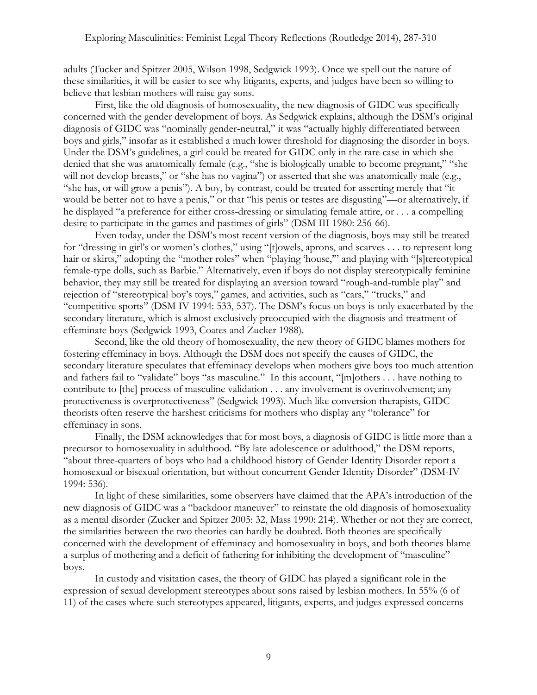adults (Tucker and Spitzer 2005, Wilson 1998, Sedgwick 1993). Once we spell out the nature of these similarities, it will be easier to see why litigants, experts, and judges have been so willing to believe that lesbian mothers will raise gay sons.

First, like the old diagnosis of homosexuality, the new diagnosis of GIDC was specifically concerned with the gender development of boys. As Sedgwick explains, although the DSM's original diagnosis of GIDC was "nominally gender-neutral," it was "actually highly differentiated between boys and girls," insofar as it established a much lower threshold for diagnosing the disorder in boys. Under the DSM's guidelines, a girl could be treated for GIDC only in the rare case in which she denied that she was anatomically female (e.g., "she is biologically unable to become pregnant," "she will not develop breasts," or "she has no vagina") or asserted that she was anatomically male (e.g., "she has, or will grow a penis"). A boy, by contrast, could be treated for asserting merely that "it would be better not to have a penis," or that "his penis or testes are disgusting"—or alternatively, if he displayed "a preference for either cross-dressing or simulating female attire, or . . . a compelling desire to participate in the games and pastimes of girls" (DSM III 1980: 256-66).

Even today, under the DSM's most recent version of the diagnosis, boys may still be treated for "dressing in girl's or women's clothes," using "[t]owels, aprons, and scarves . . . to represent long hair or skirts," adopting the "mother roles" when "playing 'house," and playing with "[s]tereotypical female-type dolls, such as Barbie." Alternatively, even if boys do not display stereotypically feminine behavior, they may still be treated for displaying an aversion toward "rough-and-tumble play" and rejection of "stereotypical boy's toys," games, and activities, such as "cars," "trucks," and "competitive sports" (DSM IV 1994: 533, 537). The DSM's focus on boys is only exacerbated by the secondary literature, which is almost exclusively preoccupied with the diagnosis and treatment of effeminate boys (Sedgwick 1993, Coates and Zucker 1988).

Second, like the old theory of homosexuality, the new theory of GIDC blames mothers for fostering effeminacy in boys. Although the DSM does not specify the causes of GIDC, the secondary literature speculates that effeminacy develops when mothers give boys too much attention and fathers fail to "validate" boys "as masculine." In this account, "[m]others . . . have nothing to contribute to [the] process of masculine validation . . . any involvement is overinvolvement; any protectiveness is overprotectiveness" (Sedgwick 1993). Much like conversion therapists, GIDC theorists often reserve the harshest criticisms for mothers who display any "tolerance" for effeminacy in sons.

Finally, the DSM acknowledges that for most boys, a diagnosis of GIDC is little more than a precursor to homosexuality in adulthood. "By late adolescence or adulthood," the DSM reports, "about three-quarters of boys who had a childhood history of Gender Identity Disorder report a homosexual or bisexual orientation, but without concurrent Gender Identity Disorder" (DSM-IV 1994: 536).

In light of these similarities, some observers have claimed that the APA's introduction of the new diagnosis of GIDC was a "backdoor maneuver" to reinstate the old diagnosis of homosexuality as a mental disorder (Zucker and Spitzer 2005: 32, Mass 1990: 214). Whether or not they are correct, the similarities between the two theories can hardly be doubted. Both theories are specifically concerned with the development of effeminacy and homosexuality in boys, and both theories blame a surplus of mothering and a deficit of fathering for inhibiting the development of "masculine" boys.

In custody and visitation cases, the theory of GIDC has played a significant role in the expression of sexual development stereotypes about sons raised by lesbian mothers. In 55% (6 of 11) of the cases where such stereotypes appeared, litigants, experts, and judges expressed concerns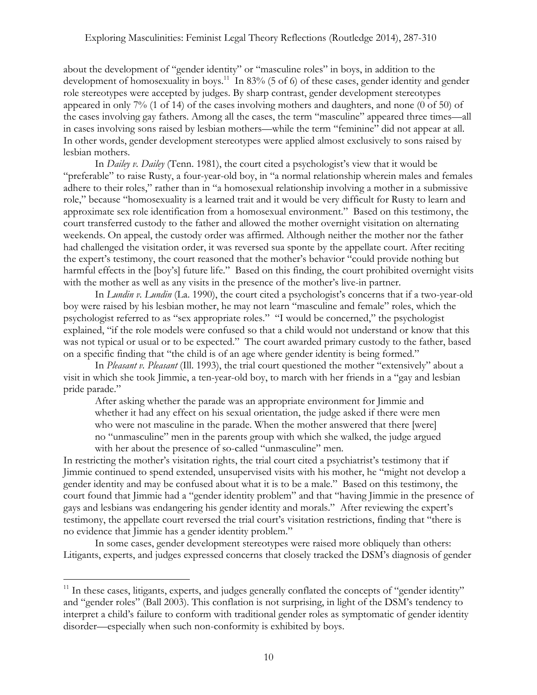about the development of "gender identity" or "masculine roles" in boys, in addition to the development of homosexuality in boys.<sup>11</sup> In 83% (5 of 6) of these cases, gender identity and gender role stereotypes were accepted by judges. By sharp contrast, gender development stereotypes appeared in only 7% (1 of 14) of the cases involving mothers and daughters, and none (0 of 50) of the cases involving gay fathers. Among all the cases, the term "masculine" appeared three times—all in cases involving sons raised by lesbian mothers—while the term "feminine" did not appear at all. In other words, gender development stereotypes were applied almost exclusively to sons raised by lesbian mothers.

In *Dailey v. Dailey* (Tenn. 1981), the court cited a psychologist's view that it would be "preferable" to raise Rusty, a four-year-old boy, in "a normal relationship wherein males and females adhere to their roles," rather than in "a homosexual relationship involving a mother in a submissive role," because "homosexuality is a learned trait and it would be very difficult for Rusty to learn and approximate sex role identification from a homosexual environment." Based on this testimony, the court transferred custody to the father and allowed the mother overnight visitation on alternating weekends. On appeal, the custody order was affirmed. Although neither the mother nor the father had challenged the visitation order, it was reversed sua sponte by the appellate court. After reciting the expert's testimony, the court reasoned that the mother's behavior "could provide nothing but harmful effects in the [boy's] future life." Based on this finding, the court prohibited overnight visits with the mother as well as any visits in the presence of the mother's live-in partner.

In *Lundin v. Lundin* (La. 1990), the court cited a psychologist's concerns that if a two-year-old boy were raised by his lesbian mother, he may not learn "masculine and female" roles, which the psychologist referred to as "sex appropriate roles." "I would be concerned," the psychologist explained, "if the role models were confused so that a child would not understand or know that this was not typical or usual or to be expected." The court awarded primary custody to the father, based on a specific finding that "the child is of an age where gender identity is being formed."

In *Pleasant v. Pleasant* (Ill. 1993), the trial court questioned the mother "extensively" about a visit in which she took Jimmie, a ten-year-old boy, to march with her friends in a "gay and lesbian pride parade."

After asking whether the parade was an appropriate environment for Jimmie and whether it had any effect on his sexual orientation, the judge asked if there were men who were not masculine in the parade. When the mother answered that there [were] no "unmasculine" men in the parents group with which she walked, the judge argued with her about the presence of so-called "unmasculine" men.

In restricting the mother's visitation rights, the trial court cited a psychiatrist's testimony that if Jimmie continued to spend extended, unsupervised visits with his mother, he "might not develop a gender identity and may be confused about what it is to be a male." Based on this testimony, the court found that Jimmie had a "gender identity problem" and that "having Jimmie in the presence of gays and lesbians was endangering his gender identity and morals." After reviewing the expert's testimony, the appellate court reversed the trial court's visitation restrictions, finding that "there is no evidence that Jimmie has a gender identity problem."

In some cases, gender development stereotypes were raised more obliquely than others: Litigants, experts, and judges expressed concerns that closely tracked the DSM's diagnosis of gender

<sup>&</sup>lt;sup>11</sup> In these cases, litigants, experts, and judges generally conflated the concepts of "gender identity" and "gender roles" (Ball 2003). This conflation is not surprising, in light of the DSM's tendency to interpret a child's failure to conform with traditional gender roles as symptomatic of gender identity disorder—especially when such non-conformity is exhibited by boys.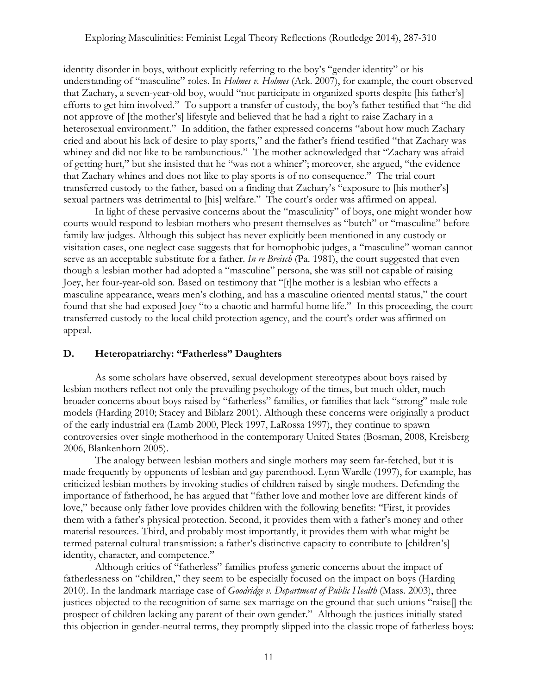identity disorder in boys, without explicitly referring to the boy's "gender identity" or his understanding of "masculine" roles. In *Holmes v. Holmes* (Ark. 2007), for example, the court observed that Zachary, a seven-year-old boy, would "not participate in organized sports despite [his father's] efforts to get him involved." To support a transfer of custody, the boy's father testified that "he did not approve of [the mother's] lifestyle and believed that he had a right to raise Zachary in a heterosexual environment." In addition, the father expressed concerns "about how much Zachary cried and about his lack of desire to play sports," and the father's friend testified "that Zachary was whiney and did not like to be rambunctious." The mother acknowledged that "Zachary was afraid of getting hurt," but she insisted that he "was not a whiner"; moreover, she argued, "the evidence that Zachary whines and does not like to play sports is of no consequence." The trial court transferred custody to the father, based on a finding that Zachary's "exposure to [his mother's] sexual partners was detrimental to [his] welfare." The court's order was affirmed on appeal.

In light of these pervasive concerns about the "masculinity" of boys, one might wonder how courts would respond to lesbian mothers who present themselves as "butch" or "masculine" before family law judges. Although this subject has never explicitly been mentioned in any custody or visitation cases, one neglect case suggests that for homophobic judges, a "masculine" woman cannot serve as an acceptable substitute for a father. *In re Breisch* (Pa. 1981), the court suggested that even though a lesbian mother had adopted a "masculine" persona, she was still not capable of raising Joey, her four-year-old son. Based on testimony that "[t]he mother is a lesbian who effects a masculine appearance, wears men's clothing, and has a masculine oriented mental status," the court found that she had exposed Joey "to a chaotic and harmful home life." In this proceeding, the court transferred custody to the local child protection agency, and the court's order was affirmed on appeal.

## **D. Heteropatriarchy: "Fatherless" Daughters**

As some scholars have observed, sexual development stereotypes about boys raised by lesbian mothers reflect not only the prevailing psychology of the times, but much older, much broader concerns about boys raised by "fatherless" families, or families that lack "strong" male role models (Harding 2010; Stacey and Biblarz 2001). Although these concerns were originally a product of the early industrial era (Lamb 2000, Pleck 1997, LaRossa 1997), they continue to spawn controversies over single motherhood in the contemporary United States (Bosman, 2008, Kreisberg 2006, Blankenhorn 2005).

The analogy between lesbian mothers and single mothers may seem far-fetched, but it is made frequently by opponents of lesbian and gay parenthood. Lynn Wardle (1997), for example, has criticized lesbian mothers by invoking studies of children raised by single mothers. Defending the importance of fatherhood, he has argued that "father love and mother love are different kinds of love," because only father love provides children with the following benefits: "First, it provides them with a father's physical protection. Second, it provides them with a father's money and other material resources. Third, and probably most importantly, it provides them with what might be termed paternal cultural transmission: a father's distinctive capacity to contribute to [children's] identity, character, and competence."

Although critics of "fatherless" families profess generic concerns about the impact of fatherlessness on "children," they seem to be especially focused on the impact on boys (Harding 2010). In the landmark marriage case of *Goodridge v. Department of Public Health* (Mass. 2003), three justices objected to the recognition of same-sex marriage on the ground that such unions "raise[] the prospect of children lacking any parent of their own gender." Although the justices initially stated this objection in gender-neutral terms, they promptly slipped into the classic trope of fatherless boys: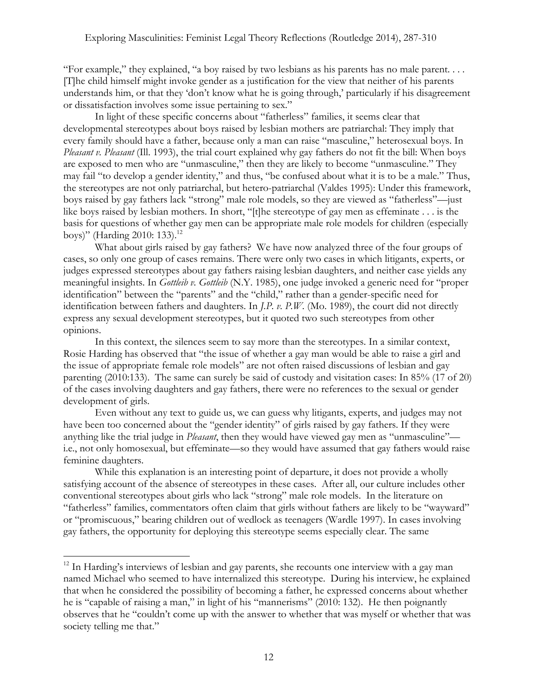"For example," they explained, "a boy raised by two lesbians as his parents has no male parent. . . . [T]he child himself might invoke gender as a justification for the view that neither of his parents understands him, or that they 'don't know what he is going through,' particularly if his disagreement or dissatisfaction involves some issue pertaining to sex."

In light of these specific concerns about "fatherless" families, it seems clear that developmental stereotypes about boys raised by lesbian mothers are patriarchal: They imply that every family should have a father, because only a man can raise "masculine," heterosexual boys. In *Pleasant v. Pleasant* (Ill. 1993), the trial court explained why gay fathers do not fit the bill: When boys are exposed to men who are "unmasculine," then they are likely to become "unmasculine." They may fail "to develop a gender identity," and thus, "be confused about what it is to be a male." Thus, the stereotypes are not only patriarchal, but hetero-patriarchal (Valdes 1995): Under this framework, boys raised by gay fathers lack "strong" male role models, so they are viewed as "fatherless"—just like boys raised by lesbian mothers. In short, "[t]he stereotype of gay men as effeminate . . . is the basis for questions of whether gay men can be appropriate male role models for children (especially boys)" (Harding 2010: 133).<sup>12</sup>

What about girls raised by gay fathers? We have now analyzed three of the four groups of cases, so only one group of cases remains. There were only two cases in which litigants, experts, or judges expressed stereotypes about gay fathers raising lesbian daughters, and neither case yields any meaningful insights. In *Gottleib v. Gottleib* (N.Y. 1985), one judge invoked a generic need for "proper identification" between the "parents" and the "child," rather than a gender-specific need for identification between fathers and daughters. In *J.P. v. P.W.* (Mo. 1989), the court did not directly express any sexual development stereotypes, but it quoted two such stereotypes from other opinions.

In this context, the silences seem to say more than the stereotypes. In a similar context, Rosie Harding has observed that "the issue of whether a gay man would be able to raise a girl and the issue of appropriate female role models" are not often raised discussions of lesbian and gay parenting (2010:133). The same can surely be said of custody and visitation cases: In 85% (17 of 20) of the cases involving daughters and gay fathers, there were no references to the sexual or gender development of girls.

Even without any text to guide us, we can guess why litigants, experts, and judges may not have been too concerned about the "gender identity" of girls raised by gay fathers. If they were anything like the trial judge in *Pleasant*, then they would have viewed gay men as "unmasculine" i.e., not only homosexual, but effeminate—so they would have assumed that gay fathers would raise feminine daughters.

While this explanation is an interesting point of departure, it does not provide a wholly satisfying account of the absence of stereotypes in these cases. After all, our culture includes other conventional stereotypes about girls who lack "strong" male role models. In the literature on "fatherless" families, commentators often claim that girls without fathers are likely to be "wayward" or "promiscuous," bearing children out of wedlock as teenagers (Wardle 1997). In cases involving gay fathers, the opportunity for deploying this stereotype seems especially clear. The same

<sup>&</sup>lt;sup>12</sup> In Harding's interviews of lesbian and gay parents, she recounts one interview with a gay man named Michael who seemed to have internalized this stereotype. During his interview, he explained that when he considered the possibility of becoming a father, he expressed concerns about whether he is "capable of raising a man," in light of his "mannerisms" (2010: 132). He then poignantly observes that he "couldn't come up with the answer to whether that was myself or whether that was society telling me that."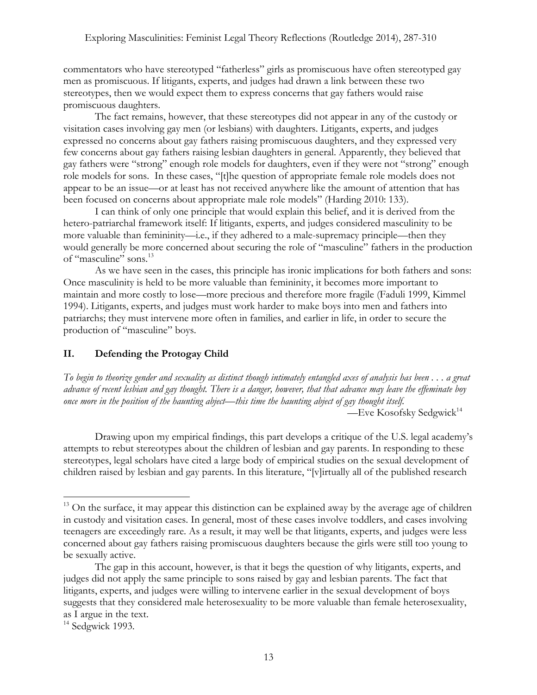commentators who have stereotyped "fatherless" girls as promiscuous have often stereotyped gay men as promiscuous. If litigants, experts, and judges had drawn a link between these two stereotypes, then we would expect them to express concerns that gay fathers would raise promiscuous daughters.

The fact remains, however, that these stereotypes did not appear in any of the custody or visitation cases involving gay men (or lesbians) with daughters. Litigants, experts, and judges expressed no concerns about gay fathers raising promiscuous daughters, and they expressed very few concerns about gay fathers raising lesbian daughters in general. Apparently, they believed that gay fathers were "strong" enough role models for daughters, even if they were not "strong" enough role models for sons. In these cases, "[t]he question of appropriate female role models does not appear to be an issue—or at least has not received anywhere like the amount of attention that has been focused on concerns about appropriate male role models" (Harding 2010: 133).

I can think of only one principle that would explain this belief, and it is derived from the hetero-patriarchal framework itself: If litigants, experts, and judges considered masculinity to be more valuable than femininity—i.e., if they adhered to a male-supremacy principle—then they would generally be more concerned about securing the role of "masculine" fathers in the production of "masculine" sons.13

As we have seen in the cases, this principle has ironic implications for both fathers and sons: Once masculinity is held to be more valuable than femininity, it becomes more important to maintain and more costly to lose—more precious and therefore more fragile (Faduli 1999, Kimmel 1994). Litigants, experts, and judges must work harder to make boys into men and fathers into patriarchs; they must intervene more often in families, and earlier in life, in order to secure the production of "masculine" boys.

## **II. Defending the Protogay Child**

 

*To begin to theorize gender and sexuality as distinct though intimately entangled axes of analysis has been . . . a great advance of recent lesbian and gay thought. There is a danger, however, that that advance may leave the effeminate boy once more in the position of the haunting abject—this time the haunting abject of gay thought itself.* —Eve Kosofsky Sedgwick $14$ 

Drawing upon my empirical findings, this part develops a critique of the U.S. legal academy's attempts to rebut stereotypes about the children of lesbian and gay parents. In responding to these stereotypes, legal scholars have cited a large body of empirical studies on the sexual development of children raised by lesbian and gay parents. In this literature, "[v]irtually all of the published research

<sup>&</sup>lt;sup>13</sup> On the surface, it may appear this distinction can be explained away by the average age of children in custody and visitation cases. In general, most of these cases involve toddlers, and cases involving teenagers are exceedingly rare. As a result, it may well be that litigants, experts, and judges were less concerned about gay fathers raising promiscuous daughters because the girls were still too young to be sexually active.

The gap in this account, however, is that it begs the question of why litigants, experts, and judges did not apply the same principle to sons raised by gay and lesbian parents. The fact that litigants, experts, and judges were willing to intervene earlier in the sexual development of boys suggests that they considered male heterosexuality to be more valuable than female heterosexuality, as I argue in the text.

 $14$  Sedgwick 1993.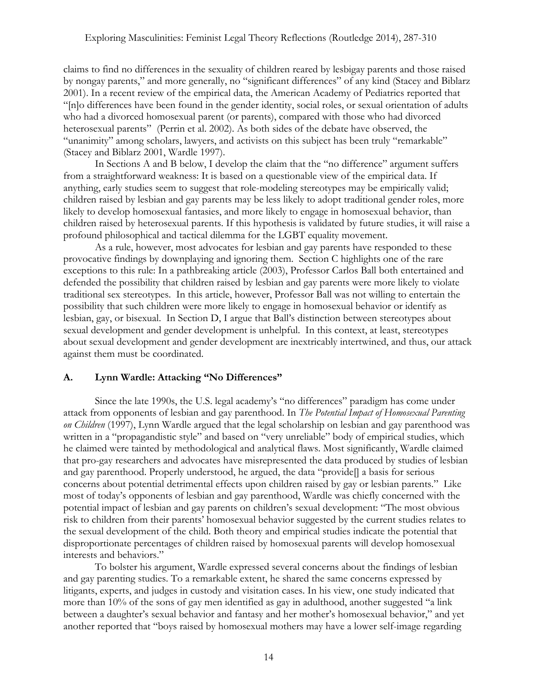claims to find no differences in the sexuality of children reared by lesbigay parents and those raised by nongay parents," and more generally, no "significant differences" of any kind (Stacey and Biblarz 2001). In a recent review of the empirical data, the American Academy of Pediatrics reported that "[n]o differences have been found in the gender identity, social roles, or sexual orientation of adults who had a divorced homosexual parent (or parents), compared with those who had divorced heterosexual parents" (Perrin et al. 2002). As both sides of the debate have observed, the "unanimity" among scholars, lawyers, and activists on this subject has been truly "remarkable" (Stacey and Biblarz 2001, Wardle 1997).

In Sections A and B below, I develop the claim that the "no difference" argument suffers from a straightforward weakness: It is based on a questionable view of the empirical data. If anything, early studies seem to suggest that role-modeling stereotypes may be empirically valid; children raised by lesbian and gay parents may be less likely to adopt traditional gender roles, more likely to develop homosexual fantasies, and more likely to engage in homosexual behavior, than children raised by heterosexual parents. If this hypothesis is validated by future studies, it will raise a profound philosophical and tactical dilemma for the LGBT equality movement.

As a rule, however, most advocates for lesbian and gay parents have responded to these provocative findings by downplaying and ignoring them. Section C highlights one of the rare exceptions to this rule: In a pathbreaking article (2003), Professor Carlos Ball both entertained and defended the possibility that children raised by lesbian and gay parents were more likely to violate traditional sex stereotypes. In this article, however, Professor Ball was not willing to entertain the possibility that such children were more likely to engage in homosexual behavior or identify as lesbian, gay, or bisexual. In Section D, I argue that Ball's distinction between stereotypes about sexual development and gender development is unhelpful. In this context, at least, stereotypes about sexual development and gender development are inextricably intertwined, and thus, our attack against them must be coordinated.

## **A. Lynn Wardle: Attacking "No Differences"**

Since the late 1990s, the U.S. legal academy's "no differences" paradigm has come under attack from opponents of lesbian and gay parenthood. In *The Potential Impact of Homosexual Parenting on Children* (1997), Lynn Wardle argued that the legal scholarship on lesbian and gay parenthood was written in a "propagandistic style" and based on "very unreliable" body of empirical studies, which he claimed were tainted by methodological and analytical flaws. Most significantly, Wardle claimed that pro-gay researchers and advocates have misrepresented the data produced by studies of lesbian and gay parenthood. Properly understood, he argued, the data "provide[] a basis for serious concerns about potential detrimental effects upon children raised by gay or lesbian parents." Like most of today's opponents of lesbian and gay parenthood, Wardle was chiefly concerned with the potential impact of lesbian and gay parents on children's sexual development: "The most obvious risk to children from their parents' homosexual behavior suggested by the current studies relates to the sexual development of the child. Both theory and empirical studies indicate the potential that disproportionate percentages of children raised by homosexual parents will develop homosexual interests and behaviors."

To bolster his argument, Wardle expressed several concerns about the findings of lesbian and gay parenting studies. To a remarkable extent, he shared the same concerns expressed by litigants, experts, and judges in custody and visitation cases. In his view, one study indicated that more than 10% of the sons of gay men identified as gay in adulthood, another suggested "a link between a daughter's sexual behavior and fantasy and her mother's homosexual behavior," and yet another reported that "boys raised by homosexual mothers may have a lower self-image regarding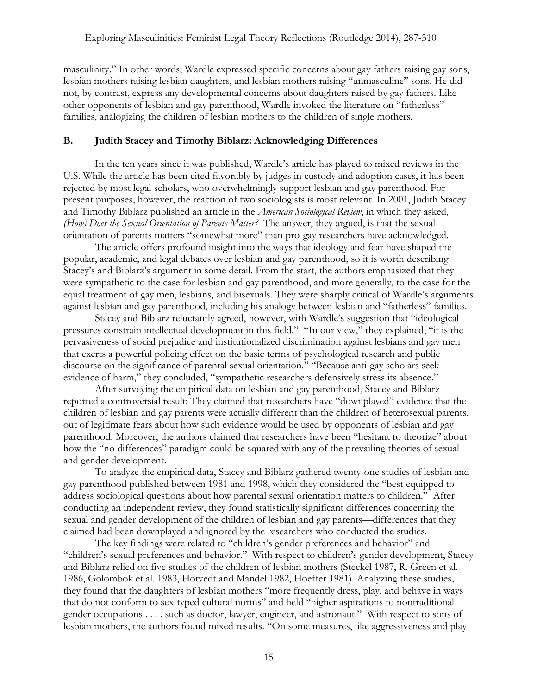masculinity." In other words, Wardle expressed specific concerns about gay fathers raising gay sons, lesbian mothers raising lesbian daughters, and lesbian mothers raising "unmasculine" sons. He did not, by contrast, express any developmental concerns about daughters raised by gay fathers. Like other opponents of lesbian and gay parenthood, Wardle invoked the literature on "fatherless" families, analogizing the children of lesbian mothers to the children of single mothers.

## **B. Judith Stacey and Timothy Biblarz: Acknowledging Differences**

In the ten years since it was published, Wardle's article has played to mixed reviews in the U.S. While the article has been cited favorably by judges in custody and adoption cases, it has been rejected by most legal scholars, who overwhelmingly support lesbian and gay parenthood. For present purposes, however, the reaction of two sociologists is most relevant. In 2001, Judith Stacey and Timothy Biblarz published an article in the *American Sociological Review*, in which they asked, *(How) Does the Sexual Orientation of Parents Matter?* The answer, they argued, is that the sexual orientation of parents matters "somewhat more" than pro-gay researchers have acknowledged.

The article offers profound insight into the ways that ideology and fear have shaped the popular, academic, and legal debates over lesbian and gay parenthood, so it is worth describing Stacey's and Biblarz's argument in some detail. From the start, the authors emphasized that they were sympathetic to the case for lesbian and gay parenthood, and more generally, to the case for the equal treatment of gay men, lesbians, and bisexuals. They were sharply critical of Wardle's arguments against lesbian and gay parenthood, including his analogy between lesbian and "fatherless" families.

Stacey and Biblarz reluctantly agreed, however, with Wardle's suggestion that "ideological pressures constrain intellectual development in this field." "In our view," they explained, "it is the pervasiveness of social prejudice and institutionalized discrimination against lesbians and gay men that exerts a powerful policing effect on the basic terms of psychological research and public discourse on the significance of parental sexual orientation." "Because anti-gay scholars seek evidence of harm," they concluded, "sympathetic researchers defensively stress its absence."

After surveying the empirical data on lesbian and gay parenthood, Stacey and Biblarz reported a controversial result: They claimed that researchers have "downplayed" evidence that the children of lesbian and gay parents were actually different than the children of heterosexual parents, out of legitimate fears about how such evidence would be used by opponents of lesbian and gay parenthood. Moreover, the authors claimed that researchers have been "hesitant to theorize" about how the "no differences" paradigm could be squared with any of the prevailing theories of sexual and gender development.

To analyze the empirical data, Stacey and Biblarz gathered twenty-one studies of lesbian and gay parenthood published between 1981 and 1998, which they considered the "best equipped to address sociological questions about how parental sexual orientation matters to children." After conducting an independent review, they found statistically significant differences concerning the sexual and gender development of the children of lesbian and gay parents—differences that they claimed had been downplayed and ignored by the researchers who conducted the studies.

The key findings were related to "children's gender preferences and behavior" and "children's sexual preferences and behavior." With respect to children's gender development, Stacey and Biblarz relied on five studies of the children of lesbian mothers (Steckel 1987, R. Green et al. 1986, Golombok et al. 1983, Hotvedt and Mandel 1982, Hoeffer 1981). Analyzing these studies, they found that the daughters of lesbian mothers "more frequently dress, play, and behave in ways that do not conform to sex-typed cultural norms" and held "higher aspirations to nontraditional gender occupations . . . . such as doctor, lawyer, engineer, and astronaut." With respect to sons of lesbian mothers, the authors found mixed results. "On some measures, like aggressiveness and play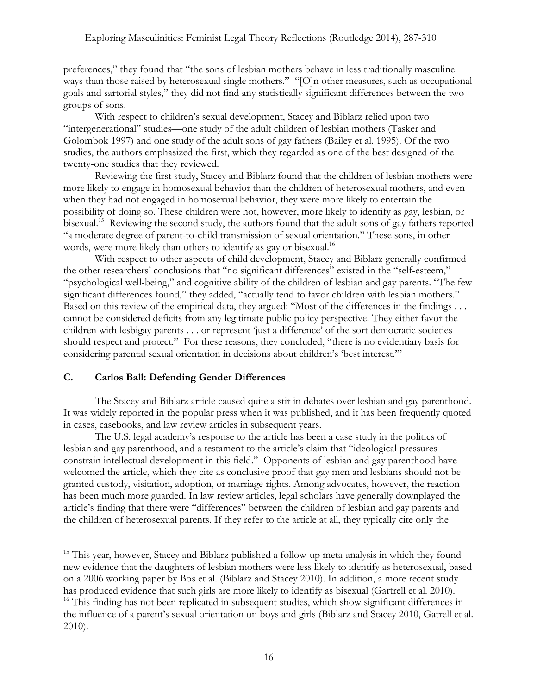preferences," they found that "the sons of lesbian mothers behave in less traditionally masculine ways than those raised by heterosexual single mothers." "[O]n other measures, such as occupational goals and sartorial styles," they did not find any statistically significant differences between the two groups of sons.

With respect to children's sexual development, Stacey and Biblarz relied upon two "intergenerational" studies—one study of the adult children of lesbian mothers (Tasker and Golombok 1997) and one study of the adult sons of gay fathers (Bailey et al. 1995). Of the two studies, the authors emphasized the first, which they regarded as one of the best designed of the twenty-one studies that they reviewed.

Reviewing the first study, Stacey and Biblarz found that the children of lesbian mothers were more likely to engage in homosexual behavior than the children of heterosexual mothers, and even when they had not engaged in homosexual behavior, they were more likely to entertain the possibility of doing so. These children were not, however, more likely to identify as gay, lesbian, or bisexual.<sup>15</sup> Reviewing the second study, the authors found that the adult sons of gay fathers reported "a moderate degree of parent-to-child transmission of sexual orientation." These sons, in other words, were more likely than others to identify as gay or bisexual.<sup>16</sup>

With respect to other aspects of child development, Stacey and Biblarz generally confirmed the other researchers' conclusions that "no significant differences" existed in the "self-esteem," "psychological well-being," and cognitive ability of the children of lesbian and gay parents. "The few significant differences found," they added, "actually tend to favor children with lesbian mothers." Based on this review of the empirical data, they argued: "Most of the differences in the findings . . . cannot be considered deficits from any legitimate public policy perspective. They either favor the children with lesbigay parents . . . or represent 'just a difference' of the sort democratic societies should respect and protect." For these reasons, they concluded, "there is no evidentiary basis for considering parental sexual orientation in decisions about children's 'best interest.'"

## **C. Carlos Ball: Defending Gender Differences**

 

The Stacey and Biblarz article caused quite a stir in debates over lesbian and gay parenthood. It was widely reported in the popular press when it was published, and it has been frequently quoted in cases, casebooks, and law review articles in subsequent years.

The U.S. legal academy's response to the article has been a case study in the politics of lesbian and gay parenthood, and a testament to the article's claim that "ideological pressures constrain intellectual development in this field." Opponents of lesbian and gay parenthood have welcomed the article, which they cite as conclusive proof that gay men and lesbians should not be granted custody, visitation, adoption, or marriage rights. Among advocates, however, the reaction has been much more guarded. In law review articles, legal scholars have generally downplayed the article's finding that there were "differences" between the children of lesbian and gay parents and the children of heterosexual parents. If they refer to the article at all, they typically cite only the

<sup>&</sup>lt;sup>15</sup> This year, however, Stacey and Biblarz published a follow-up meta-analysis in which they found new evidence that the daughters of lesbian mothers were less likely to identify as heterosexual, based on a 2006 working paper by Bos et al. (Biblarz and Stacey 2010). In addition, a more recent study has produced evidence that such girls are more likely to identify as bisexual (Gartrell et al. 2010).

<sup>&</sup>lt;sup>16</sup> This finding has not been replicated in subsequent studies, which show significant differences in the influence of a parent's sexual orientation on boys and girls (Biblarz and Stacey 2010, Gatrell et al. 2010).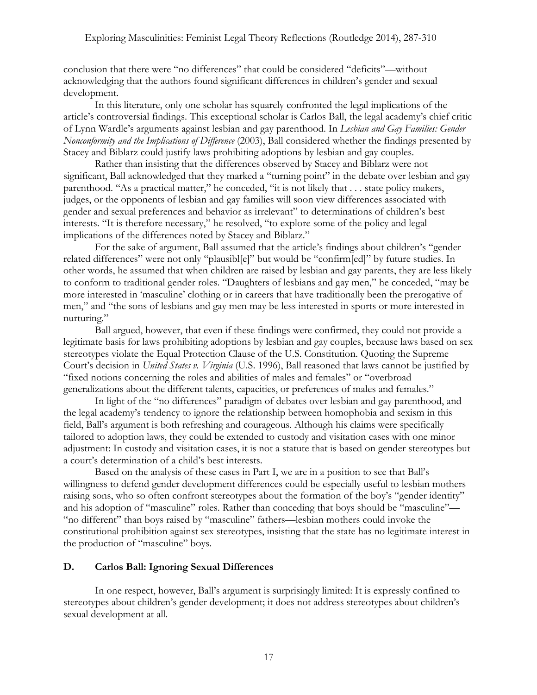conclusion that there were "no differences" that could be considered "deficits"—without acknowledging that the authors found significant differences in children's gender and sexual development.

In this literature, only one scholar has squarely confronted the legal implications of the article's controversial findings. This exceptional scholar is Carlos Ball, the legal academy's chief critic of Lynn Wardle's arguments against lesbian and gay parenthood. In *Lesbian and Gay Families: Gender Nonconformity and the Implications of Difference* (2003), Ball considered whether the findings presented by Stacey and Biblarz could justify laws prohibiting adoptions by lesbian and gay couples.

Rather than insisting that the differences observed by Stacey and Biblarz were not significant, Ball acknowledged that they marked a "turning point" in the debate over lesbian and gay parenthood. "As a practical matter," he conceded, "it is not likely that . . . state policy makers, judges, or the opponents of lesbian and gay families will soon view differences associated with gender and sexual preferences and behavior as irrelevant" to determinations of children's best interests. "It is therefore necessary," he resolved, "to explore some of the policy and legal implications of the differences noted by Stacey and Biblarz."

For the sake of argument, Ball assumed that the article's findings about children's "gender related differences" were not only "plausibl[e]" but would be "confirm[ed]" by future studies. In other words, he assumed that when children are raised by lesbian and gay parents, they are less likely to conform to traditional gender roles. "Daughters of lesbians and gay men," he conceded, "may be more interested in 'masculine' clothing or in careers that have traditionally been the prerogative of men," and "the sons of lesbians and gay men may be less interested in sports or more interested in nurturing."

Ball argued, however, that even if these findings were confirmed, they could not provide a legitimate basis for laws prohibiting adoptions by lesbian and gay couples, because laws based on sex stereotypes violate the Equal Protection Clause of the U.S. Constitution. Quoting the Supreme Court's decision in *United States v. Virginia* (U.S. 1996), Ball reasoned that laws cannot be justified by "fixed notions concerning the roles and abilities of males and females" or "overbroad generalizations about the different talents, capacities, or preferences of males and females."

In light of the "no differences" paradigm of debates over lesbian and gay parenthood, and the legal academy's tendency to ignore the relationship between homophobia and sexism in this field, Ball's argument is both refreshing and courageous. Although his claims were specifically tailored to adoption laws, they could be extended to custody and visitation cases with one minor adjustment: In custody and visitation cases, it is not a statute that is based on gender stereotypes but a court's determination of a child's best interests.

Based on the analysis of these cases in Part I, we are in a position to see that Ball's willingness to defend gender development differences could be especially useful to lesbian mothers raising sons, who so often confront stereotypes about the formation of the boy's "gender identity" and his adoption of "masculine" roles. Rather than conceding that boys should be "masculine"— "no different" than boys raised by "masculine" fathers—lesbian mothers could invoke the constitutional prohibition against sex stereotypes, insisting that the state has no legitimate interest in the production of "masculine" boys.

## **D. Carlos Ball: Ignoring Sexual Differences**

In one respect, however, Ball's argument is surprisingly limited: It is expressly confined to stereotypes about children's gender development; it does not address stereotypes about children's sexual development at all.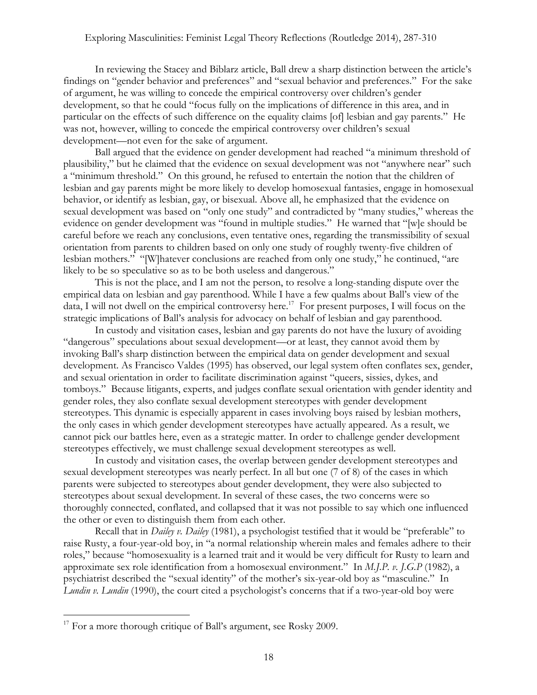In reviewing the Stacey and Biblarz article, Ball drew a sharp distinction between the article's findings on "gender behavior and preferences" and "sexual behavior and preferences." For the sake of argument, he was willing to concede the empirical controversy over children's gender development, so that he could "focus fully on the implications of difference in this area, and in particular on the effects of such difference on the equality claims [of] lesbian and gay parents." He was not, however, willing to concede the empirical controversy over children's sexual development—not even for the sake of argument.

Ball argued that the evidence on gender development had reached "a minimum threshold of plausibility," but he claimed that the evidence on sexual development was not "anywhere near" such a "minimum threshold." On this ground, he refused to entertain the notion that the children of lesbian and gay parents might be more likely to develop homosexual fantasies, engage in homosexual behavior, or identify as lesbian, gay, or bisexual. Above all, he emphasized that the evidence on sexual development was based on "only one study" and contradicted by "many studies," whereas the evidence on gender development was "found in multiple studies." He warned that "[w]e should be careful before we reach any conclusions, even tentative ones, regarding the transmissibility of sexual orientation from parents to children based on only one study of roughly twenty-five children of lesbian mothers." "[W]hatever conclusions are reached from only one study," he continued, "are likely to be so speculative so as to be both useless and dangerous."

This is not the place, and I am not the person, to resolve a long-standing dispute over the empirical data on lesbian and gay parenthood. While I have a few qualms about Ball's view of the data, I will not dwell on the empirical controversy here.<sup>17</sup> For present purposes, I will focus on the strategic implications of Ball's analysis for advocacy on behalf of lesbian and gay parenthood.

In custody and visitation cases, lesbian and gay parents do not have the luxury of avoiding "dangerous" speculations about sexual development—or at least, they cannot avoid them by invoking Ball's sharp distinction between the empirical data on gender development and sexual development. As Francisco Valdes (1995) has observed, our legal system often conflates sex, gender, and sexual orientation in order to facilitate discrimination against "queers, sissies, dykes, and tomboys." Because litigants, experts, and judges conflate sexual orientation with gender identity and gender roles, they also conflate sexual development stereotypes with gender development stereotypes. This dynamic is especially apparent in cases involving boys raised by lesbian mothers, the only cases in which gender development stereotypes have actually appeared. As a result, we cannot pick our battles here, even as a strategic matter. In order to challenge gender development stereotypes effectively, we must challenge sexual development stereotypes as well.

In custody and visitation cases, the overlap between gender development stereotypes and sexual development stereotypes was nearly perfect. In all but one (7 of 8) of the cases in which parents were subjected to stereotypes about gender development, they were also subjected to stereotypes about sexual development. In several of these cases, the two concerns were so thoroughly connected, conflated, and collapsed that it was not possible to say which one influenced the other or even to distinguish them from each other.

Recall that in *Dailey v. Dailey* (1981), a psychologist testified that it would be "preferable" to raise Rusty, a four-year-old boy, in "a normal relationship wherein males and females adhere to their roles," because "homosexuality is a learned trait and it would be very difficult for Rusty to learn and approximate sex role identification from a homosexual environment." In *M.J.P. v. J.G.P* (1982), a psychiatrist described the "sexual identity" of the mother's six-year-old boy as "masculine." In *Lundin v. Lundin* (1990), the court cited a psychologist's concerns that if a two-year-old boy were

 $17$  For a more thorough critique of Ball's argument, see Rosky 2009.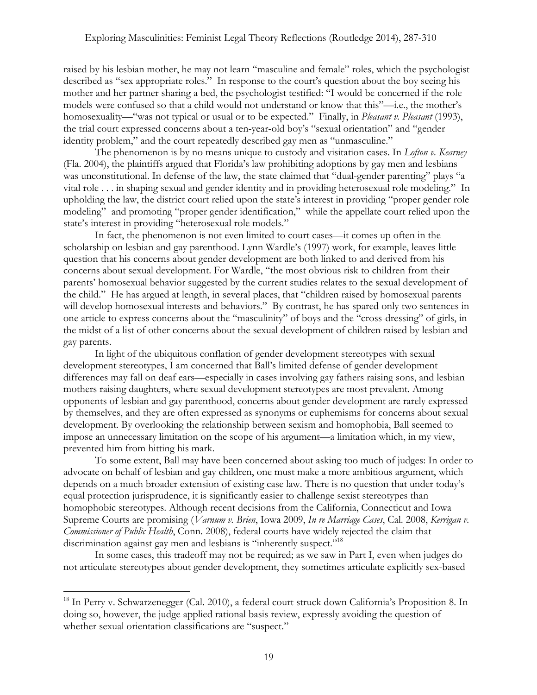raised by his lesbian mother, he may not learn "masculine and female" roles, which the psychologist described as "sex appropriate roles." In response to the court's question about the boy seeing his mother and her partner sharing a bed, the psychologist testified: "I would be concerned if the role models were confused so that a child would not understand or know that this"—i.e., the mother's homosexuality—"was not typical or usual or to be expected." Finally, in *Pleasant v. Pleasant* (1993), the trial court expressed concerns about a ten-year-old boy's "sexual orientation" and "gender identity problem," and the court repeatedly described gay men as "unmasculine."

The phenomenon is by no means unique to custody and visitation cases. In *Lofton v. Kearney* (Fla. 2004), the plaintiffs argued that Florida's law prohibiting adoptions by gay men and lesbians was unconstitutional. In defense of the law, the state claimed that "dual-gender parenting" plays "a vital role . . . in shaping sexual and gender identity and in providing heterosexual role modeling." In upholding the law, the district court relied upon the state's interest in providing "proper gender role modeling" and promoting "proper gender identification," while the appellate court relied upon the state's interest in providing "heterosexual role models."

In fact, the phenomenon is not even limited to court cases—it comes up often in the scholarship on lesbian and gay parenthood. Lynn Wardle's (1997) work, for example, leaves little question that his concerns about gender development are both linked to and derived from his concerns about sexual development. For Wardle, "the most obvious risk to children from their parents' homosexual behavior suggested by the current studies relates to the sexual development of the child." He has argued at length, in several places, that "children raised by homosexual parents will develop homosexual interests and behaviors." By contrast, he has spared only two sentences in one article to express concerns about the "masculinity" of boys and the "cross-dressing" of girls, in the midst of a list of other concerns about the sexual development of children raised by lesbian and gay parents.

In light of the ubiquitous conflation of gender development stereotypes with sexual development stereotypes, I am concerned that Ball's limited defense of gender development differences may fall on deaf ears—especially in cases involving gay fathers raising sons, and lesbian mothers raising daughters, where sexual development stereotypes are most prevalent. Among opponents of lesbian and gay parenthood, concerns about gender development are rarely expressed by themselves, and they are often expressed as synonyms or euphemisms for concerns about sexual development. By overlooking the relationship between sexism and homophobia, Ball seemed to impose an unnecessary limitation on the scope of his argument—a limitation which, in my view, prevented him from hitting his mark.

To some extent, Ball may have been concerned about asking too much of judges: In order to advocate on behalf of lesbian and gay children, one must make a more ambitious argument, which depends on a much broader extension of existing case law. There is no question that under today's equal protection jurisprudence, it is significantly easier to challenge sexist stereotypes than homophobic stereotypes. Although recent decisions from the California, Connecticut and Iowa Supreme Courts are promising (*Varnum v. Brien*, Iowa 2009, *In re Marriage Cases*, Cal. 2008, *Kerrigan v. Commissioner of Public Health*, Conn. 2008), federal courts have widely rejected the claim that discrimination against gay men and lesbians is "inherently suspect."<sup>18</sup>

In some cases, this tradeoff may not be required; as we saw in Part I, even when judges do not articulate stereotypes about gender development, they sometimes articulate explicitly sex-based

<sup>&</sup>lt;sup>18</sup> In Perry v. Schwarzenegger (Cal. 2010), a federal court struck down California's Proposition 8. In doing so, however, the judge applied rational basis review, expressly avoiding the question of whether sexual orientation classifications are "suspect."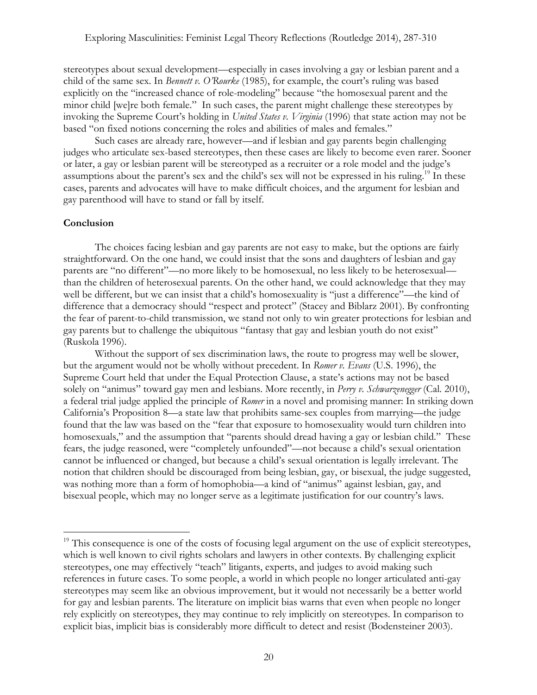stereotypes about sexual development—especially in cases involving a gay or lesbian parent and a child of the same sex. In *Bennett v. O'Rourke* (1985), for example, the court's ruling was based explicitly on the "increased chance of role-modeling" because "the homosexual parent and the minor child [we]re both female." In such cases, the parent might challenge these stereotypes by invoking the Supreme Court's holding in *United States v. Virginia* (1996) that state action may not be based "on fixed notions concerning the roles and abilities of males and females."

Such cases are already rare, however—and if lesbian and gay parents begin challenging judges who articulate sex-based stereotypes, then these cases are likely to become even rarer. Sooner or later, a gay or lesbian parent will be stereotyped as a recruiter or a role model and the judge's assumptions about the parent's sex and the child's sex will not be expressed in his ruling.<sup>19</sup> In these cases, parents and advocates will have to make difficult choices, and the argument for lesbian and gay parenthood will have to stand or fall by itself.

## **Conclusion**

 

The choices facing lesbian and gay parents are not easy to make, but the options are fairly straightforward. On the one hand, we could insist that the sons and daughters of lesbian and gay parents are "no different"—no more likely to be homosexual, no less likely to be heterosexual than the children of heterosexual parents. On the other hand, we could acknowledge that they may well be different, but we can insist that a child's homosexuality is "just a difference"—the kind of difference that a democracy should "respect and protect" (Stacey and Biblarz 2001). By confronting the fear of parent-to-child transmission, we stand not only to win greater protections for lesbian and gay parents but to challenge the ubiquitous "fantasy that gay and lesbian youth do not exist" (Ruskola 1996).

Without the support of sex discrimination laws, the route to progress may well be slower, but the argument would not be wholly without precedent. In *Romer v. Evans* (U.S. 1996), the Supreme Court held that under the Equal Protection Clause, a state's actions may not be based solely on "animus" toward gay men and lesbians. More recently, in *Perry v. Schwarzenegger* (Cal. 2010), a federal trial judge applied the principle of *Romer* in a novel and promising manner: In striking down California's Proposition 8—a state law that prohibits same-sex couples from marrying—the judge found that the law was based on the "fear that exposure to homosexuality would turn children into homosexuals," and the assumption that "parents should dread having a gay or lesbian child." These fears, the judge reasoned, were "completely unfounded"—not because a child's sexual orientation cannot be influenced or changed, but because a child's sexual orientation is legally irrelevant. The notion that children should be discouraged from being lesbian, gay, or bisexual, the judge suggested, was nothing more than a form of homophobia—a kind of "animus" against lesbian, gay, and bisexual people, which may no longer serve as a legitimate justification for our country's laws.

<sup>&</sup>lt;sup>19</sup> This consequence is one of the costs of focusing legal argument on the use of explicit stereotypes, which is well known to civil rights scholars and lawyers in other contexts. By challenging explicit stereotypes, one may effectively "teach" litigants, experts, and judges to avoid making such references in future cases. To some people, a world in which people no longer articulated anti-gay stereotypes may seem like an obvious improvement, but it would not necessarily be a better world for gay and lesbian parents. The literature on implicit bias warns that even when people no longer rely explicitly on stereotypes, they may continue to rely implicitly on stereotypes. In comparison to explicit bias, implicit bias is considerably more difficult to detect and resist (Bodensteiner 2003).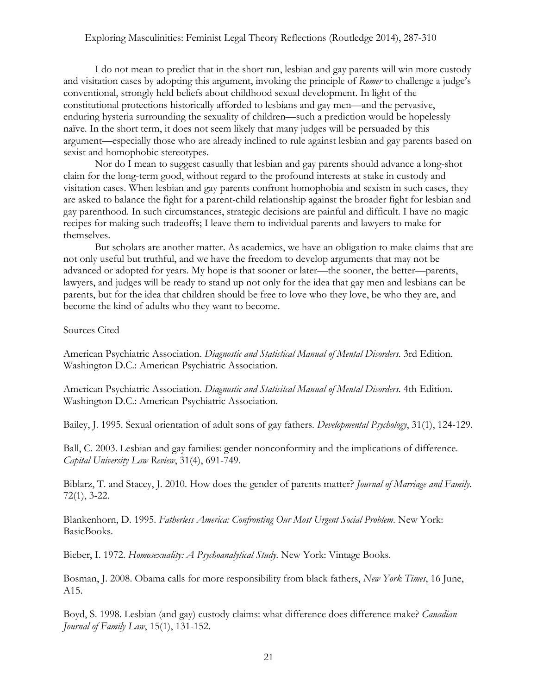I do not mean to predict that in the short run, lesbian and gay parents will win more custody and visitation cases by adopting this argument, invoking the principle of *Romer* to challenge a judge's conventional, strongly held beliefs about childhood sexual development. In light of the constitutional protections historically afforded to lesbians and gay men—and the pervasive, enduring hysteria surrounding the sexuality of children—such a prediction would be hopelessly naïve. In the short term, it does not seem likely that many judges will be persuaded by this argument—especially those who are already inclined to rule against lesbian and gay parents based on sexist and homophobic stereotypes.

Nor do I mean to suggest casually that lesbian and gay parents should advance a long-shot claim for the long-term good, without regard to the profound interests at stake in custody and visitation cases. When lesbian and gay parents confront homophobia and sexism in such cases, they are asked to balance the fight for a parent-child relationship against the broader fight for lesbian and gay parenthood. In such circumstances, strategic decisions are painful and difficult. I have no magic recipes for making such tradeoffs; I leave them to individual parents and lawyers to make for themselves.

But scholars are another matter. As academics, we have an obligation to make claims that are not only useful but truthful, and we have the freedom to develop arguments that may not be advanced or adopted for years. My hope is that sooner or later—the sooner, the better—parents, lawyers, and judges will be ready to stand up not only for the idea that gay men and lesbians can be parents, but for the idea that children should be free to love who they love, be who they are, and become the kind of adults who they want to become.

Sources Cited

American Psychiatric Association. *Diagnostic and Statistical Manual of Mental Disorders*. 3rd Edition. Washington D.C.: American Psychiatric Association.

American Psychiatric Association. *Diagnostic and Statisitcal Manual of Mental Disorders*. 4th Edition. Washington D.C.: American Psychiatric Association.

Bailey, J. 1995. Sexual orientation of adult sons of gay fathers. *Developmental Psychology*, 31(1), 124-129.

Ball, C. 2003. Lesbian and gay families: gender nonconformity and the implications of difference. *Capital University Law Review*, 31(4), 691-749.

Biblarz, T. and Stacey, J. 2010. How does the gender of parents matter? *Journal of Marriage and Family*. 72(1), 3-22.

Blankenhorn, D. 1995. *Fatherless America: Confronting Our Most Urgent Social Problem*. New York: BasicBooks.

Bieber, I. 1972. *Homosexuality: A Psychoanalytical Study*. New York: Vintage Books.

Bosman, J. 2008. Obama calls for more responsibility from black fathers, *New York Times*, 16 June, A15.

Boyd, S. 1998. Lesbian (and gay) custody claims: what difference does difference make? *Canadian Journal of Family Law*, 15(1), 131-152.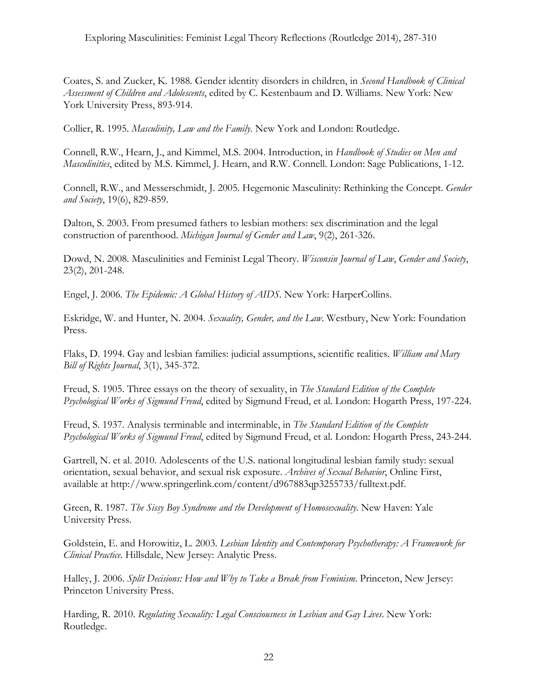Coates, S. and Zucker, K. 1988. Gender identity disorders in children, in *Second Handbook of Clinical Assessment of Children and Adolescents*, edited by C. Kestenbaum and D. Williams. New York: New York University Press, 893-914.

Collier, R. 1995. *Masculinity, Law and the Family*. New York and London: Routledge.

Connell, R.W., Hearn, J., and Kimmel, M.S. 2004. Introduction, in *Handbook of Studies on Men and Masculinities*, edited by M.S. Kimmel, J. Hearn, and R.W. Connell. London: Sage Publications, 1-12.

Connell, R.W., and Messerschmidt, J. 2005. Hegemonic Masculinity: Rethinking the Concept. *Gender and Society*, 19(6), 829-859.

Dalton, S. 2003. From presumed fathers to lesbian mothers: sex discrimination and the legal construction of parenthood. *Michigan Journal of Gender and Law*, 9(2), 261-326.

Dowd, N. 2008. Masculinities and Feminist Legal Theory. *Wisconsin Journal of Law*, *Gender and Society*, 23(2), 201-248.

Engel, J. 2006. *The Epidemic: A Global History of AIDS*. New York: HarperCollins.

Eskridge, W. and Hunter, N. 2004. *Sexuality, Gender, and the Law*. Westbury, New York: Foundation Press.

Flaks, D. 1994. Gay and lesbian families: judicial assumptions, scientific realities. *William and Mary Bill of Rights Journal*, 3(1), 345-372.

Freud, S. 1905. Three essays on the theory of sexuality, in *The Standard Edition of the Complete Psychological Works of Sigmund Freud*, edited by Sigmund Freud, et al. London: Hogarth Press, 197-224.

Freud, S. 1937. Analysis terminable and interminable, in *The Standard Edition of the Complete Psychological Works of Sigmund Freud*, edited by Sigmund Freud, et al. London: Hogarth Press, 243-244.

Gartrell, N. et al. 2010. Adolescents of the U.S. national longitudinal lesbian family study: sexual orientation, sexual behavior, and sexual risk exposure. *Archives of Sexual Behavior*, Online First, available at http://www.springerlink.com/content/d967883qp3255733/fulltext.pdf.

Green, R. 1987. *The Sissy Boy Syndrome and the Development of Homosexuality*. New Haven: Yale University Press.

Goldstein, E. and Horowitiz, L. 2003. *Lesbian Identity and Contemporary Psychotherapy: A Framework for Clinical Practice*. Hillsdale, New Jersey: Analytic Press.

Halley, J. 2006. *Split Decisions: How and Why to Take a Break from Feminism*. Princeton, New Jersey: Princeton University Press.

Harding, R. 2010. *Regulating Sexuality: Legal Consciousness in Lesbian and Gay Lives*. New York: Routledge.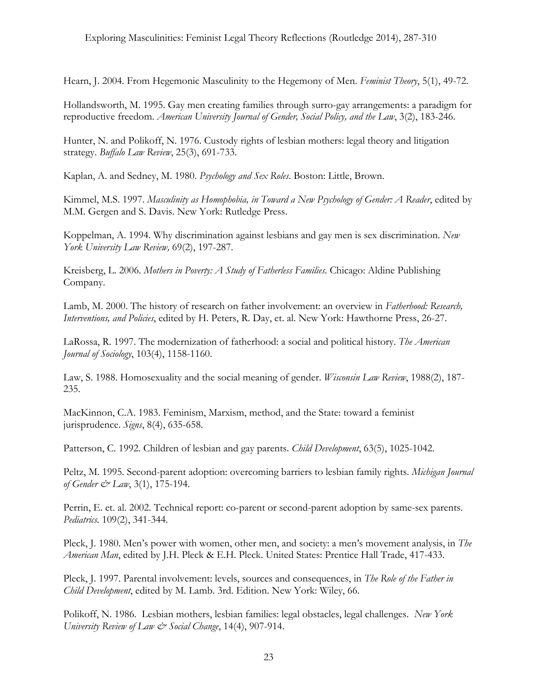Hearn, J. 2004. From Hegemonic Masculinity to the Hegemony of Men. *Feminist Theory*, 5(1), 49-72.

Hollandsworth, M. 1995. Gay men creating families through surro-gay arrangements: a paradigm for reproductive freedom. *American University Journal of Gender, Social Policy, and the Law*, 3(2), 183-246.

Hunter, N. and Polikoff, N. 1976. Custody rights of lesbian mothers: legal theory and litigation strategy. *Buffalo Law Review*, 25(3), 691-733.

Kaplan, A. and Sedney, M. 1980. *Psychology and Sex Roles*. Boston: Little, Brown.

Kimmel, M.S. 1997. *Masculinity as Homophobia, in Toward a New Psychology of Gender: A Reader*, edited by M.M. Gergen and S. Davis. New York: Rutledge Press.

Koppelman, A. 1994. Why discrimination against lesbians and gay men is sex discrimination. *New York University Law Review,* 69(2), 197-287.

Kreisberg, L. 2006. *Mothers in Poverty: A Study of Fatherless Families*. Chicago: Aldine Publishing Company.

Lamb, M. 2000. The history of research on father involvement: an overview in *Fatherhood: Research, Interventions, and Policies*, edited by H. Peters, R. Day, et. al. New York: Hawthorne Press, 26-27.

LaRossa, R. 1997. The modernization of fatherhood: a social and political history. *The American Journal of Sociology*, 103(4), 1158-1160.

Law, S. 1988. Homosexuality and the social meaning of gender. *Wisconsin Law Review*, 1988(2), 187- 235.

MacKinnon, C.A. 1983. Feminism, Marxism, method, and the State: toward a feminist jurisprudence. *Signs*, 8(4), 635-658.

Patterson, C. 1992. Children of lesbian and gay parents. *Child Development*, 63(5), 1025-1042.

Peltz, M. 1995. Second-parent adoption: overcoming barriers to lesbian family rights. *Michigan Journal of Gender & Law*, 3(1), 175-194.

Perrin, E. et. al. 2002. Technical report: co-parent or second-parent adoption by same-sex parents. *Pediatrics.* 109(2), 341-344.

Pleck, J. 1980. Men's power with women, other men, and society: a men's movement analysis, in *The American Man*, edited by J.H. Pleck & E.H. Pleck. United States: Prentice Hall Trade, 417-433.

Pleck, J. 1997. Parental involvement: levels, sources and consequences, in *The Role of the Father in Child Development*, edited by M. Lamb. 3rd. Edition. New York: Wiley, 66.

Polikoff, N. 1986. Lesbian mothers, lesbian families: legal obstacles, legal challenges. *New York University Review of Law & Social Change*, 14(4), 907-914.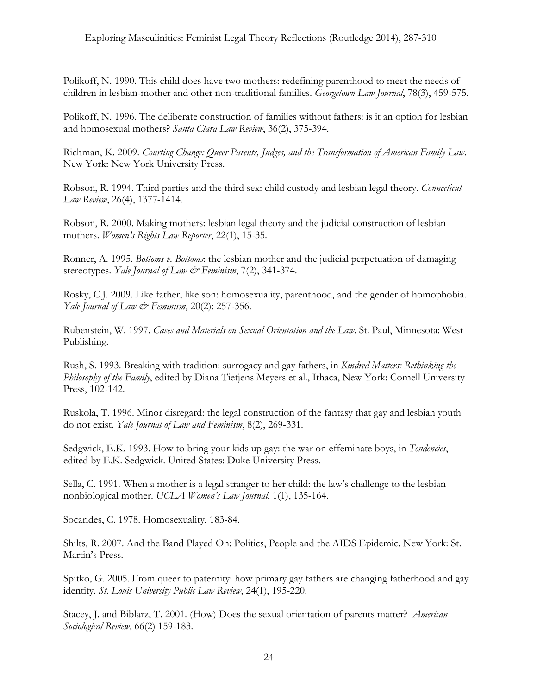Polikoff, N. 1990. This child does have two mothers: redefining parenthood to meet the needs of children in lesbian-mother and other non-traditional families. *Georgetown Law Journal*, 78(3), 459-575.

Polikoff, N. 1996. The deliberate construction of families without fathers: is it an option for lesbian and homosexual mothers? *Santa Clara Law Review*, 36(2), 375-394.

Richman, K. 2009. *Courting Change: Queer Parents, Judges, and the Transformation of American Family Law*. New York: New York University Press.

Robson, R. 1994. Third parties and the third sex: child custody and lesbian legal theory. *Connecticut Law Review*, 26(4), 1377-1414.

Robson, R. 2000. Making mothers: lesbian legal theory and the judicial construction of lesbian mothers. *Women's Rights Law Reporter*, 22(1), 15-35.

Ronner, A. 1995. *Bottoms v. Bottoms*: the lesbian mother and the judicial perpetuation of damaging stereotypes. *Yale Journal of Law & Feminism*, 7(2), 341-374.

Rosky, C.J. 2009. Like father, like son: homosexuality, parenthood, and the gender of homophobia. *Yale Journal of Law & Feminism*, 20(2): 257-356.

Rubenstein, W. 1997. *Cases and Materials on Sexual Orientation and the Law*. St. Paul, Minnesota: West Publishing.

Rush, S. 1993. Breaking with tradition: surrogacy and gay fathers, in *Kindred Matters: Rethinking the Philosophy of the Family*, edited by Diana Tietjens Meyers et al., Ithaca, New York: Cornell University Press, 102-142.

Ruskola, T. 1996. Minor disregard: the legal construction of the fantasy that gay and lesbian youth do not exist. *Yale Journal of Law and Feminism*, 8(2), 269-331.

Sedgwick, E.K. 1993. How to bring your kids up gay: the war on effeminate boys, in *Tendencies*, edited by E.K. Sedgwick. United States: Duke University Press.

Sella, C. 1991. When a mother is a legal stranger to her child: the law's challenge to the lesbian nonbiological mother. *UCLA Women's Law Journal*, 1(1), 135-164.

Socarides, C. 1978. Homosexuality, 183-84.

Shilts, R. 2007. And the Band Played On: Politics, People and the AIDS Epidemic. New York: St. Martin's Press.

Spitko, G. 2005. From queer to paternity: how primary gay fathers are changing fatherhood and gay identity. *St. Louis University Public Law Review*, 24(1), 195-220.

Stacey, J. and Biblarz, T. 2001. (How) Does the sexual orientation of parents matter? *American Sociological Review*, 66(2) 159-183.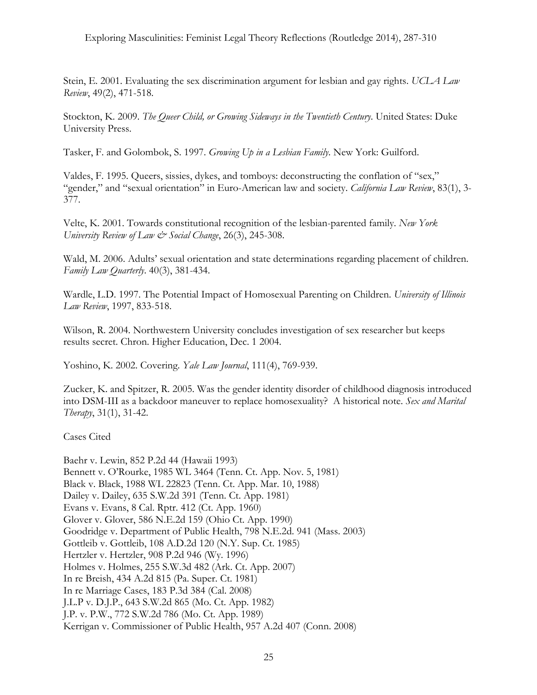## Exploring Masculinities: Feminist Legal Theory Reflections (Routledge 2014), 287-310

Stein, E. 2001. Evaluating the sex discrimination argument for lesbian and gay rights. *UCLA Law Review*, 49(2), 471-518.

Stockton, K. 2009. *The Queer Child, or Growing Sideways in the Twentieth Century*. United States: Duke University Press.

Tasker, F. and Golombok, S. 1997. *Growing Up in a Lesbian Family*. New York: Guilford.

Valdes, F. 1995. Queers, sissies, dykes, and tomboys: deconstructing the conflation of "sex," "gender," and "sexual orientation" in Euro-American law and society. *California Law Review*, 83(1), 3- 377.

Velte, K. 2001. Towards constitutional recognition of the lesbian-parented family. *New York University Review of Law & Social Change*, 26(3), 245-308.

Wald, M. 2006. Adults' sexual orientation and state determinations regarding placement of children. *Family Law Quarterly*. 40(3), 381-434.

Wardle, L.D. 1997. The Potential Impact of Homosexual Parenting on Children. *University of Illinois Law Review*, 1997, 833-518.

Wilson, R. 2004. Northwestern University concludes investigation of sex researcher but keeps results secret. Chron. Higher Education, Dec. 1 2004.

Yoshino, K. 2002. Covering. *Yale Law Journal*, 111(4), 769-939.

Zucker, K. and Spitzer, R. 2005. Was the gender identity disorder of childhood diagnosis introduced into DSM-III as a backdoor maneuver to replace homosexuality? A historical note. *Sex and Marital Therapy*, 31(1), 31-42.

Cases Cited

Baehr v. Lewin, 852 P.2d 44 (Hawaii 1993) Bennett v. O'Rourke, 1985 WL 3464 (Tenn. Ct. App. Nov. 5, 1981) Black v. Black, 1988 WL 22823 (Tenn. Ct. App. Mar. 10, 1988) Dailey v. Dailey, 635 S.W.2d 391 (Tenn. Ct. App. 1981) Evans v. Evans, 8 Cal. Rptr. 412 (Ct. App. 1960) Glover v. Glover, 586 N.E.2d 159 (Ohio Ct. App. 1990) Goodridge v. Department of Public Health, 798 N.E.2d. 941 (Mass. 2003) Gottleib v. Gottleib, 108 A.D.2d 120 (N.Y. Sup. Ct. 1985) Hertzler v. Hertzler, 908 P.2d 946 (Wy. 1996) Holmes v. Holmes, 255 S.W.3d 482 (Ark. Ct. App. 2007) In re Breish, 434 A.2d 815 (Pa. Super. Ct. 1981) In re Marriage Cases, 183 P.3d 384 (Cal. 2008) J.L.P v. D.J.P., 643 S.W.2d 865 (Mo. Ct. App. 1982) J.P. v. P.W., 772 S.W.2d 786 (Mo. Ct. App. 1989) Kerrigan v. Commissioner of Public Health, 957 A.2d 407 (Conn. 2008)